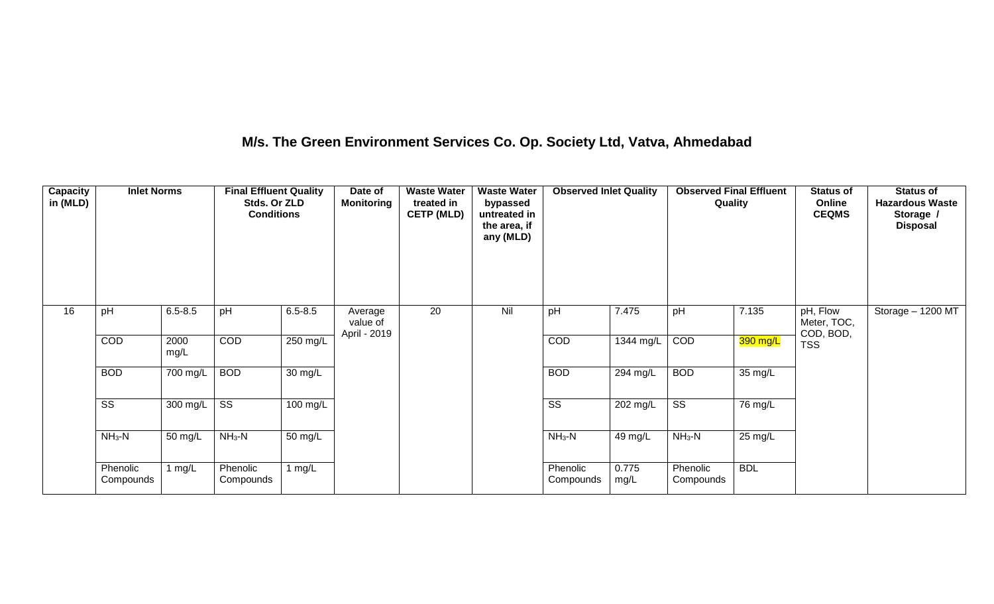## **M/s. The Green Environment Services Co. Op. Society Ltd, Vatva, Ahmedabad**

| Capacity<br>in (MLD) | <b>Inlet Norms</b>    |              | <b>Final Effluent Quality</b><br>Stds. Or ZLD<br><b>Conditions</b> |             | Date of<br><b>Monitoring</b>        | <b>Waste Water</b><br>treated in<br><b>CETP (MLD)</b> | <b>Waste Water</b><br>bypassed<br>untreated in<br>the area, if<br>any (MLD) | <b>Observed Inlet Quality</b> |               | <b>Observed Final Effluent</b><br>Quality |            | <b>Status of</b><br>Online<br><b>CEQMS</b> | <b>Status of</b><br><b>Hazardous Waste</b><br>Storage /<br><b>Disposal</b> |
|----------------------|-----------------------|--------------|--------------------------------------------------------------------|-------------|-------------------------------------|-------------------------------------------------------|-----------------------------------------------------------------------------|-------------------------------|---------------|-------------------------------------------|------------|--------------------------------------------|----------------------------------------------------------------------------|
| 16                   | pH                    | $6.5 - 8.5$  | pH                                                                 | $6.5 - 8.5$ | Average<br>value of<br>April - 2019 | 20                                                    | Nil                                                                         | pH                            | 7.475         | pH                                        | 7.135      | pH, Flow<br>Meter, TOC,<br>COD, BOD,       | Storage $-1200$ MT                                                         |
|                      | COD                   | 2000<br>mg/L | COD                                                                | 250 mg/L    |                                     |                                                       |                                                                             | <b>COD</b>                    | 1344 mg/L     | COD                                       | 390 mg/L   | <b>TSS</b>                                 |                                                                            |
|                      | <b>BOD</b>            | 700 mg/L     | <b>BOD</b>                                                         | 30 mg/L     |                                     |                                                       |                                                                             | <b>BOD</b>                    | 294 mg/L      | <b>BOD</b>                                | 35 mg/L    |                                            |                                                                            |
|                      | SS                    | 300 mg/L     | SS                                                                 | 100 mg/L    |                                     |                                                       |                                                                             | $\overline{\text{ss}}$        | 202 mg/L      | $\overline{\text{ss}}$                    | 76 mg/L    |                                            |                                                                            |
|                      | $NH_3-N$              | 50 mg/L      | $NH3-N$                                                            | 50 mg/L     |                                     |                                                       |                                                                             | $NH3-N$                       | 49 mg/L       | $NH3-N$                                   | 25 mg/L    |                                            |                                                                            |
|                      | Phenolic<br>Compounds | 1 mg/L       | Phenolic<br>Compounds                                              | 1 mg/L      |                                     |                                                       |                                                                             | Phenolic<br>Compounds         | 0.775<br>mg/L | Phenolic<br>Compounds                     | <b>BDL</b> |                                            |                                                                            |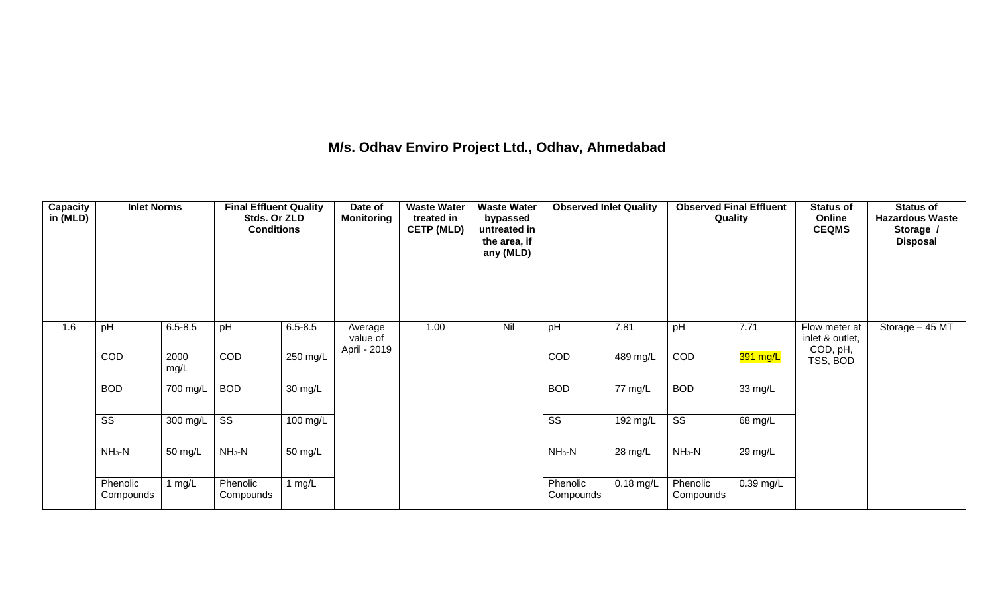## **M/s. Odhav Enviro Project Ltd., Odhav, Ahmedabad**

| Capacity<br>in (MLD) | <b>Inlet Norms</b>     |                    | <b>Final Effluent Quality</b><br>Stds. Or ZLD<br><b>Conditions</b> |                      | Date of<br><b>Monitoring</b>        | <b>Waste Water</b><br>treated in<br><b>CETP (MLD)</b> | <b>Waste Water</b><br>bypassed<br>untreated in<br>the area, if<br>any (MLD) | <b>Observed Inlet Quality</b> |             | <b>Observed Final Effluent</b><br>Quality |                      | <b>Status of</b><br>Online<br><b>CEQMS</b>   | <b>Status of</b><br><b>Hazardous Waste</b><br>Storage /<br><b>Disposal</b> |
|----------------------|------------------------|--------------------|--------------------------------------------------------------------|----------------------|-------------------------------------|-------------------------------------------------------|-----------------------------------------------------------------------------|-------------------------------|-------------|-------------------------------------------|----------------------|----------------------------------------------|----------------------------------------------------------------------------|
| 1.6                  | pH                     | $6.5 - 8.5$        | pH                                                                 | $6.5 - 8.5$          | Average<br>value of<br>April - 2019 | 1.00                                                  | Nil                                                                         | pH                            | 7.81        | pH                                        | 7.71                 | Flow meter at<br>inlet & outlet,<br>COD, pH, | Storage - 45 MT                                                            |
|                      | COD                    | 2000<br>mg/L       | COD                                                                | $250 \text{ mg/L}$   |                                     |                                                       |                                                                             | COD                           | $489$ mg/L  | COD                                       | 391 mg/L             | TSS, BOD                                     |                                                                            |
|                      | <b>BOD</b>             | 700 mg/L           | <b>BOD</b>                                                         | 30 mg/L              |                                     |                                                       |                                                                             | <b>BOD</b>                    | 77 mg/L     | <b>BOD</b>                                | 33 mg/L              |                                              |                                                                            |
|                      | $\overline{\text{ss}}$ | $300 \text{ mg/L}$ | $\overline{\text{ss}}$                                             | $100 \text{ mg/L}$   |                                     |                                                       |                                                                             | $\overline{\text{ss}}$        | $192$ mg/L  | $\overline{\text{ss}}$                    | 68 mg/L              |                                              |                                                                            |
|                      | $NH3-N$                | 50 mg/L            | $NH3-N$                                                            | $\overline{50}$ mg/L |                                     |                                                       |                                                                             | $NH3-N$                       | 28 mg/L     | $NH3-N$                                   | $29 \,\mathrm{mg/L}$ |                                              |                                                                            |
|                      | Phenolic<br>Compounds  | 1 mg/L             | Phenolic<br>Compounds                                              | 1 $mg/L$             |                                     |                                                       |                                                                             | Phenolic<br>Compounds         | $0.18$ mg/L | Phenolic<br>Compounds                     | $0.39$ mg/L          |                                              |                                                                            |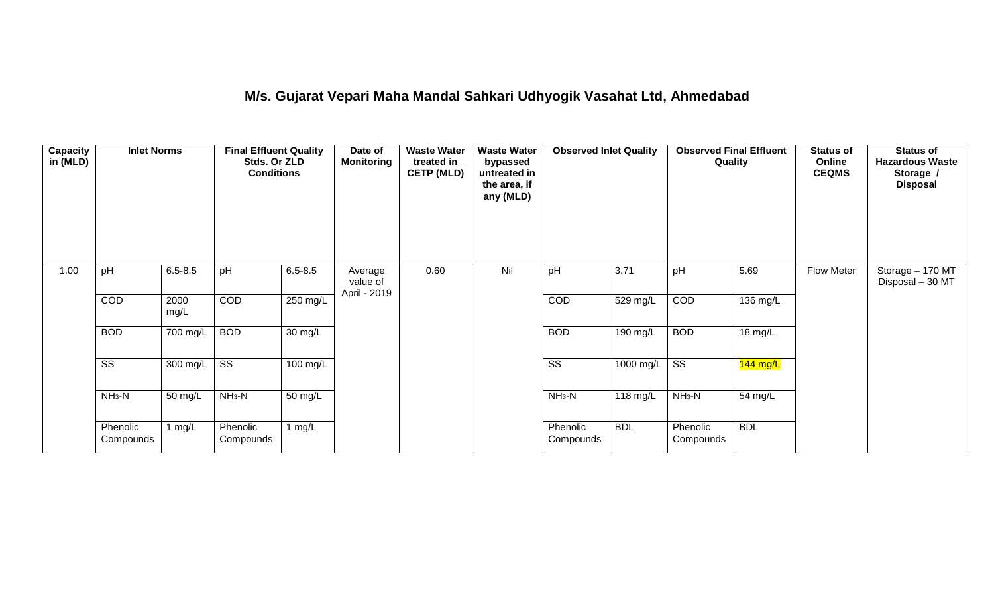## **M/s. Gujarat Vepari Maha Mandal Sahkari Udhyogik Vasahat Ltd, Ahmedabad**

| <b>Capacity</b><br>in (MLD) | <b>Inlet Norms</b>     |                  | <b>Final Effluent Quality</b><br>Stds. Or ZLD<br><b>Conditions</b> |             | Date of<br><b>Monitoring</b>        | <b>Waste Water</b><br>treated in<br><b>CETP (MLD)</b> | <b>Waste Water</b><br>bypassed<br>untreated in<br>the area, if<br>any (MLD) | <b>Observed Inlet Quality</b> |            | <b>Observed Final Effluent</b><br>Quality |            | <b>Status of</b><br>Online<br><b>CEQMS</b> | <b>Status of</b><br><b>Hazardous Waste</b><br>Storage /<br><b>Disposal</b> |
|-----------------------------|------------------------|------------------|--------------------------------------------------------------------|-------------|-------------------------------------|-------------------------------------------------------|-----------------------------------------------------------------------------|-------------------------------|------------|-------------------------------------------|------------|--------------------------------------------|----------------------------------------------------------------------------|
| 1.00                        | pH                     | $6.5 - 8.5$      | pH                                                                 | $6.5 - 8.5$ | Average<br>value of<br>April - 2019 | 0.60                                                  | Nil                                                                         | pH                            | 3.71       | pH                                        | 5.69       | <b>Flow Meter</b>                          | Storage - 170 MT<br>Disposal - 30 MT                                       |
|                             | COD                    | 2000<br>mg/L     | COD                                                                | 250 mg/L    |                                     |                                                       |                                                                             | COD                           | 529 mg/L   | COD                                       | 136 mg/L   |                                            |                                                                            |
|                             | <b>BOD</b>             | 700 mg/L         | <b>BOD</b>                                                         | 30 mg/L     |                                     |                                                       |                                                                             | <b>BOD</b>                    | 190 mg/L   | <b>BOD</b>                                | 18 mg/L    |                                            |                                                                            |
|                             | $\overline{\text{ss}}$ | 300 mg/L $\vert$ | $\overline{\text{ss}}$                                             | $100$ mg/L  |                                     |                                                       |                                                                             | $\overline{\text{ss}}$        | 1000 mg/L  | $\overline{\text{ss}}$                    | $144$ mg/L |                                            |                                                                            |
|                             | $NH3-N$                | 50 mg/L          | $NH3-N$                                                            | 50 mg/L     |                                     |                                                       |                                                                             | $NH3-N$                       | 118 mg/L   | $NH3-N$                                   | 54 mg/L    |                                            |                                                                            |
|                             | Phenolic<br>Compounds  | 1 $mg/L$         | Phenolic<br>Compounds                                              | 1 mg/L      |                                     |                                                       |                                                                             | Phenolic<br>Compounds         | <b>BDL</b> | Phenolic<br>Compounds                     | <b>BDL</b> |                                            |                                                                            |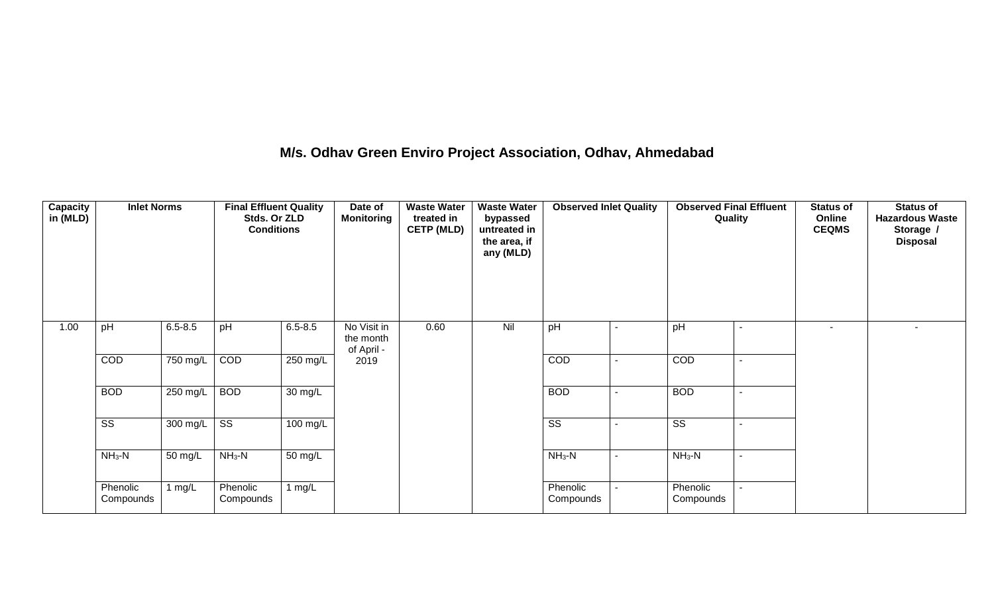## **M/s. Odhav Green Enviro Project Association, Odhav, Ahmedabad**

| Capacity<br>in (MLD) | <b>Inlet Norms</b>     |             | <b>Final Effluent Quality</b><br>Stds. Or ZLD<br><b>Conditions</b> |                      | Date of<br><b>Monitoring</b>           | <b>Waste Water</b><br>treated in<br><b>CETP (MLD)</b> | <b>Waste Water</b><br>bypassed<br>untreated in<br>the area, if<br>any (MLD) | <b>Observed Inlet Quality</b> |                          | <b>Observed Final Effluent</b><br>Quality | <b>Status of</b><br>Online<br><b>CEQMS</b> | <b>Status of</b><br><b>Hazardous Waste</b><br>Storage /<br><b>Disposal</b> |
|----------------------|------------------------|-------------|--------------------------------------------------------------------|----------------------|----------------------------------------|-------------------------------------------------------|-----------------------------------------------------------------------------|-------------------------------|--------------------------|-------------------------------------------|--------------------------------------------|----------------------------------------------------------------------------|
| 1.00                 | pH                     | $6.5 - 8.5$ | pH                                                                 | $6.5 - 8.5$          | No Visit in<br>the month<br>of April - | 0.60                                                  | Nil                                                                         | pH                            |                          | pH                                        | $\overline{\phantom{a}}$                   | $\sim$                                                                     |
|                      | COD                    | 750 mg/L    | COD                                                                | $250$ mg/L           | 2019                                   |                                                       |                                                                             | COD                           |                          | COD                                       |                                            |                                                                            |
|                      | <b>BOD</b>             | 250 mg/L    | <b>BOD</b>                                                         | 30 mg/L              |                                        |                                                       |                                                                             | <b>BOD</b>                    | $\overline{\phantom{a}}$ | <b>BOD</b>                                |                                            |                                                                            |
|                      | $\overline{\text{ss}}$ | 300 mg/L SS |                                                                    | 100 mg/L             |                                        |                                                       |                                                                             | SS                            |                          | SS                                        |                                            |                                                                            |
|                      | $NH_3-N$               | 50 mg/L     | $NH3-N$                                                            | $\overline{50}$ mg/L |                                        |                                                       |                                                                             | $NH_3-N$                      |                          | $NH_3-N$                                  |                                            |                                                                            |
|                      | Phenolic<br>Compounds  | 1 $mg/L$    | Phenolic<br>Compounds                                              | 1 $mg/L$             |                                        |                                                       |                                                                             | Phenolic<br>Compounds         |                          | Phenolic<br>Compounds                     |                                            |                                                                            |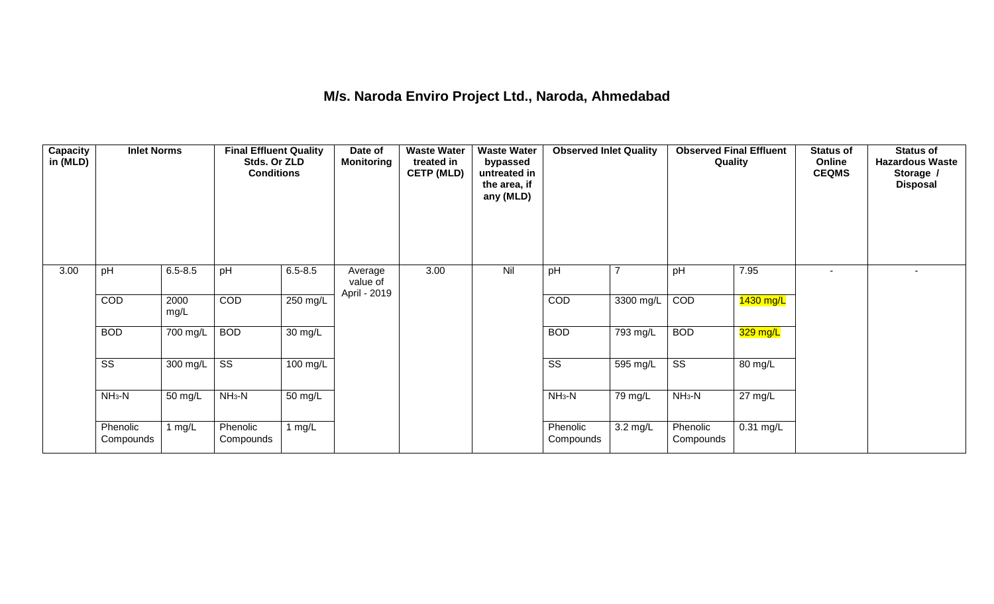## **M/s. Naroda Enviro Project Ltd., Naroda, Ahmedabad**

| <b>Capacity</b><br>in (MLD) | <b>Inlet Norms</b>     |              | <b>Final Effluent Quality</b><br>Stds. Or ZLD<br><b>Conditions</b> |                      | Date of<br><b>Monitoring</b>        | <b>Waste Water</b><br>treated in<br><b>CETP (MLD)</b> | <b>Waste Water</b><br>bypassed<br>untreated in<br>the area, if<br>any (MLD) | <b>Observed Inlet Quality</b> |                       | <b>Observed Final Effluent</b><br>Quality |                   | <b>Status of</b><br>Online<br><b>CEQMS</b> | <b>Status of</b><br><b>Hazardous Waste</b><br>Storage /<br><b>Disposal</b> |
|-----------------------------|------------------------|--------------|--------------------------------------------------------------------|----------------------|-------------------------------------|-------------------------------------------------------|-----------------------------------------------------------------------------|-------------------------------|-----------------------|-------------------------------------------|-------------------|--------------------------------------------|----------------------------------------------------------------------------|
| 3.00                        | pH                     | $6.5 - 8.5$  | pH                                                                 | $6.5 - 8.5$          | Average<br>value of<br>April - 2019 | 3.00                                                  | Nil                                                                         | pH                            | 7                     | pH                                        | 7.95              | ۰                                          |                                                                            |
|                             | COD                    | 2000<br>mg/L | COD                                                                | $250 \text{ mg/L}$   |                                     |                                                       |                                                                             | COD                           | 3300 mg/L             | COD                                       | 1430 mg/L         |                                            |                                                                            |
|                             | <b>BOD</b>             | 700 mg/L     | <b>BOD</b>                                                         | $\overline{30}$ mg/L |                                     |                                                       |                                                                             | <b>BOD</b>                    | $\overline{793}$ mg/L | <b>BOD</b>                                | 329 mg/L          |                                            |                                                                            |
|                             | $\overline{\text{ss}}$ | 300 mg/L     | $\overline{\text{ss}}$                                             | $100 \text{ mg/L}$   |                                     |                                                       |                                                                             | $\overline{\text{ss}}$        | 595 mg/L              | $\overline{\text{ss}}$                    | 80 mg/L           |                                            |                                                                            |
|                             | $NH3-N$                | 50 mg/L      | $NH3-N$                                                            | $\overline{50}$ mg/L |                                     |                                                       |                                                                             | $NH3-N$                       | 79 mg/L               | $NH3-N$                                   | $27 \text{ mg/L}$ |                                            |                                                                            |
|                             | Phenolic<br>Compounds  | 1 mg/L       | Phenolic<br>Compounds                                              | 1 $mg/L$             |                                     |                                                       |                                                                             | Phenolic<br>Compounds         | $3.2 \text{ mg/L}$    | Phenolic<br>Compounds                     | $0.31$ mg/L       |                                            |                                                                            |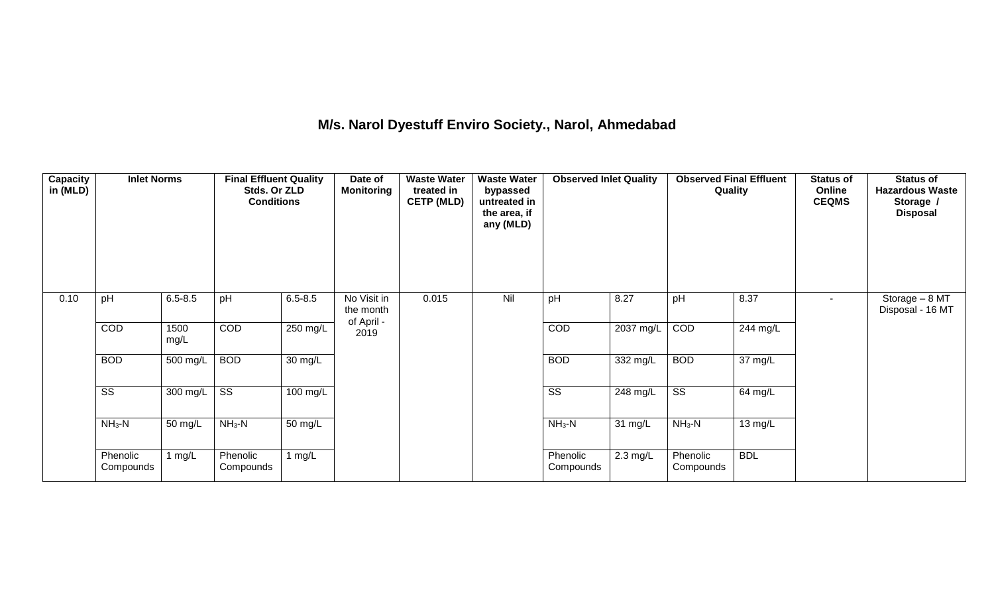## **M/s. Narol Dyestuff Enviro Society., Narol, Ahmedabad**

| <b>Capacity</b><br>in (MLD) | <b>Inlet Norms</b>     |              | <b>Final Effluent Quality</b><br>Stds. Or ZLD<br><b>Conditions</b> |                      | Date of<br><b>Monitoring</b>           | <b>Waste Water</b><br>treated in<br><b>CETP (MLD)</b> | <b>Waste Water</b><br>bypassed<br>untreated in<br>the area, if<br>any (MLD) | <b>Observed Inlet Quality</b> |                    | <b>Observed Final Effluent</b><br>Quality |                      | <b>Status of</b><br>Online<br><b>CEQMS</b> | <b>Status of</b><br><b>Hazardous Waste</b><br>Storage /<br><b>Disposal</b> |
|-----------------------------|------------------------|--------------|--------------------------------------------------------------------|----------------------|----------------------------------------|-------------------------------------------------------|-----------------------------------------------------------------------------|-------------------------------|--------------------|-------------------------------------------|----------------------|--------------------------------------------|----------------------------------------------------------------------------|
| 0.10                        | pH                     | $6.5 - 8.5$  | pH                                                                 | $6.5 - 8.5$          | No Visit in<br>the month<br>of April - | 0.015                                                 | Nil                                                                         | pH                            | 8.27               | pH                                        | 8.37                 | $\blacksquare$                             | Storage - 8 MT<br>Disposal - 16 MT                                         |
|                             | COD                    | 1500<br>mg/L | COD                                                                | $250$ mg/L           | 2019                                   |                                                       |                                                                             | COD                           | 2037 mg/L          | COD                                       | 244 mg/L             |                                            |                                                                            |
|                             | <b>BOD</b>             | 500 mg/L     | <b>BOD</b>                                                         | 30 mg/L              |                                        |                                                       |                                                                             | <b>BOD</b>                    | $332 \text{ mg/L}$ | <b>BOD</b>                                | $\overline{37}$ mg/L |                                            |                                                                            |
|                             | $\overline{\text{ss}}$ | 300 mg/L     | $\overline{\text{ss}}$                                             | $100$ mg/L           |                                        |                                                       |                                                                             | $\overline{\text{ss}}$        | 248 mg/L           | $\overline{\text{SS}}$                    | 64 mg/L              |                                            |                                                                            |
|                             | $NH3-N$                | 50 mg/L      | $NH3-N$                                                            | $\overline{50}$ mg/L |                                        |                                                       |                                                                             | $NH3-N$                       | 31 mg/L            | $NH_3-N$                                  | $13 \text{ mg/L}$    |                                            |                                                                            |
|                             | Phenolic<br>Compounds  | mg/L         | Phenolic<br>Compounds                                              | 1 $mg/L$             |                                        |                                                       |                                                                             | Phenolic<br>Compounds         | $2.3 \text{ mg/L}$ | Phenolic<br>Compounds                     | <b>BDL</b>           |                                            |                                                                            |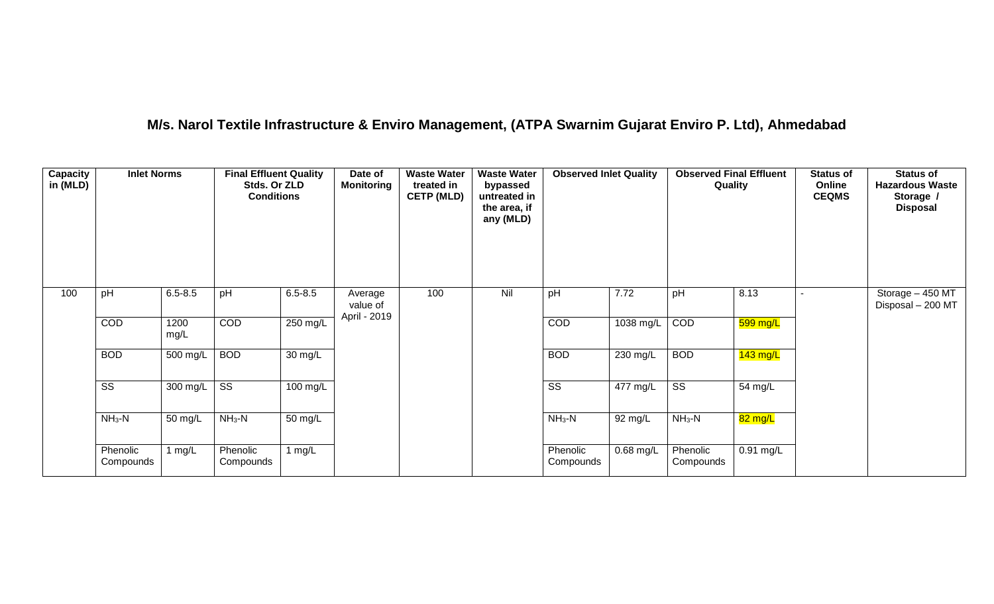## **M/s. Narol Textile Infrastructure & Enviro Management, (ATPA Swarnim Gujarat Enviro P. Ltd), Ahmedabad**

| Capacity<br>in (MLD) | <b>Inlet Norms</b>     |              | <b>Final Effluent Quality</b><br>Stds. Or ZLD<br><b>Conditions</b> |                   | Date of<br><b>Monitoring</b>        | <b>Waste Water</b><br>treated in<br><b>CETP (MLD)</b> | <b>Waste Water</b><br>bypassed<br>untreated in<br>the area, if<br>any (MLD) | <b>Observed Inlet Quality</b> |                    | <b>Observed Final Effluent</b><br>Quality |             | <b>Status of</b><br>Online<br><b>CEQMS</b> | <b>Status of</b><br><b>Hazardous Waste</b><br>Storage /<br><b>Disposal</b> |
|----------------------|------------------------|--------------|--------------------------------------------------------------------|-------------------|-------------------------------------|-------------------------------------------------------|-----------------------------------------------------------------------------|-------------------------------|--------------------|-------------------------------------------|-------------|--------------------------------------------|----------------------------------------------------------------------------|
| 100                  | pH                     | $6.5 - 8.5$  | pH                                                                 | $6.5 - 8.5$       | Average<br>value of<br>April - 2019 | 100                                                   | Nil                                                                         | pH                            | 7.72               | pH                                        | 8.13        |                                            | Storage - 450 MT<br>Disposal - 200 MT                                      |
|                      | COD                    | 1200<br>mg/L | COD                                                                | 250 mg/L          |                                     |                                                       |                                                                             | COD                           | 1038 mg/L          | COD                                       | 599 mg/L    |                                            |                                                                            |
|                      | <b>BOD</b>             | $500$ mg/L   | <b>BOD</b>                                                         | $30 \text{ mg/L}$ |                                     |                                                       |                                                                             | <b>BOD</b>                    | 230 mg/L           | <b>BOD</b>                                | $143$ mg/L  |                                            |                                                                            |
|                      | $\overline{\text{ss}}$ | $300$ mg/L   | $\overline{\text{ss}}$                                             | $100$ mg/L        |                                     |                                                       |                                                                             | $\overline{\text{ss}}$        | $477 \text{ mg/L}$ | $\overline{\text{ss}}$                    | 54 mg/L     |                                            |                                                                            |
|                      | $NH3-N$                | 50 mg/L      | $NH3-N$                                                            | 50 mg/L           |                                     |                                                       |                                                                             | $NH3-N$                       | 92 mg/L            | $NH3-N$                                   | 82 mg/L     |                                            |                                                                            |
|                      | Phenolic<br>Compounds  | 1 mg/L       | Phenolic<br>Compounds                                              | 1 $mg/L$          |                                     |                                                       |                                                                             | Phenolic<br>Compounds         | 0.68 mg/L          | Phenolic<br>Compounds                     | $0.91$ mg/L |                                            |                                                                            |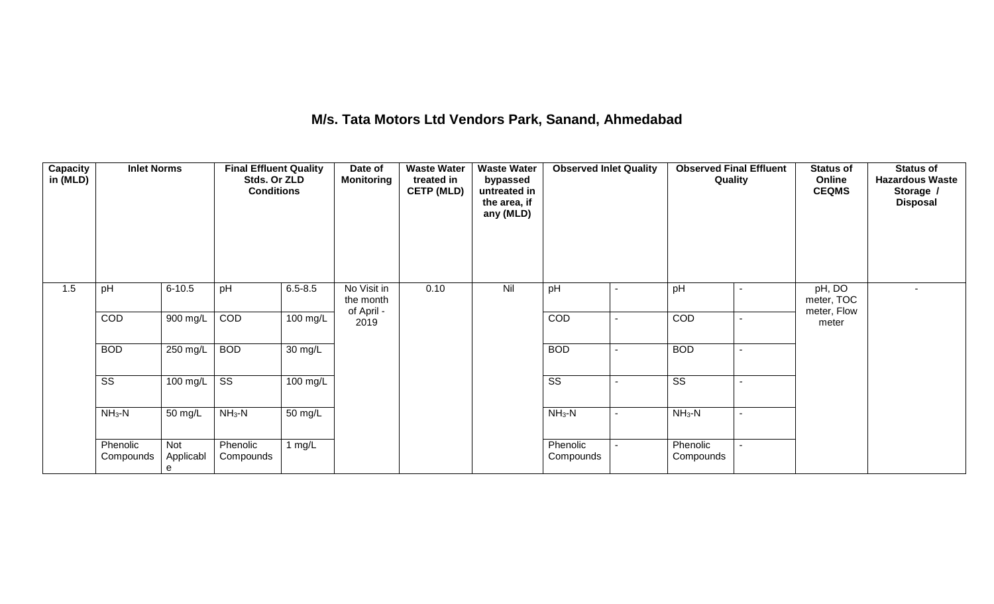## **M/s. Tata Motors Ltd Vendors Park, Sanand, Ahmedabad**

| Capacity<br>in (MLD) | <b>Inlet Norms</b>     |                       | <b>Final Effluent Quality</b><br>Stds. Or ZLD<br><b>Conditions</b> |                      | Date of<br><b>Monitoring</b>           | <b>Waste Water</b><br>treated in<br><b>CETP (MLD)</b> | <b>Waste Water</b><br>bypassed<br>untreated in<br>the area, if<br>any (MLD) | <b>Observed Inlet Quality</b> | <b>Observed Final Effluent</b><br>Quality | <b>Status of</b><br>Online<br><b>CEQMS</b> | <b>Status of</b><br><b>Hazardous Waste</b><br>Storage /<br><b>Disposal</b> |
|----------------------|------------------------|-----------------------|--------------------------------------------------------------------|----------------------|----------------------------------------|-------------------------------------------------------|-----------------------------------------------------------------------------|-------------------------------|-------------------------------------------|--------------------------------------------|----------------------------------------------------------------------------|
| 1.5                  | pH                     | $6 - 10.5$            | pH                                                                 | $6.5 - 8.5$          | No Visit in<br>the month<br>of April - | 0.10                                                  | Nil                                                                         | pH                            | pH                                        | pH, DO<br>meter, TOC<br>meter, Flow        | $\overline{\phantom{a}}$                                                   |
|                      | COD                    | 900 mg/L              | COD                                                                | $100$ mg/L           | 2019                                   |                                                       |                                                                             | COD                           | <b>COD</b>                                | meter                                      |                                                                            |
|                      | <b>BOD</b>             | $250 \text{ mg/L}$    | <b>BOD</b>                                                         | $\overline{30}$ mg/L |                                        |                                                       |                                                                             | <b>BOD</b>                    | <b>BOD</b>                                |                                            |                                                                            |
|                      | $\overline{\text{ss}}$ | 100 mg/L              | $\overline{\text{ss}}$                                             | $100 \text{ mg/L}$   |                                        |                                                       |                                                                             | $\overline{\text{SS}}$        | $\overline{\text{SS}}$                    |                                            |                                                                            |
|                      | $NH3-N$                | 50 mg/L               | $NH_3-N$                                                           | 50 mg/L              |                                        |                                                       |                                                                             | $NH_3-N$                      | $NH_3-N$                                  |                                            |                                                                            |
|                      | Phenolic<br>Compounds  | Not<br>Applicabl<br>e | Phenolic<br>Compounds                                              | 1 $mg/L$             |                                        |                                                       |                                                                             | Phenolic<br>Compounds         | Phenolic<br>Compounds                     |                                            |                                                                            |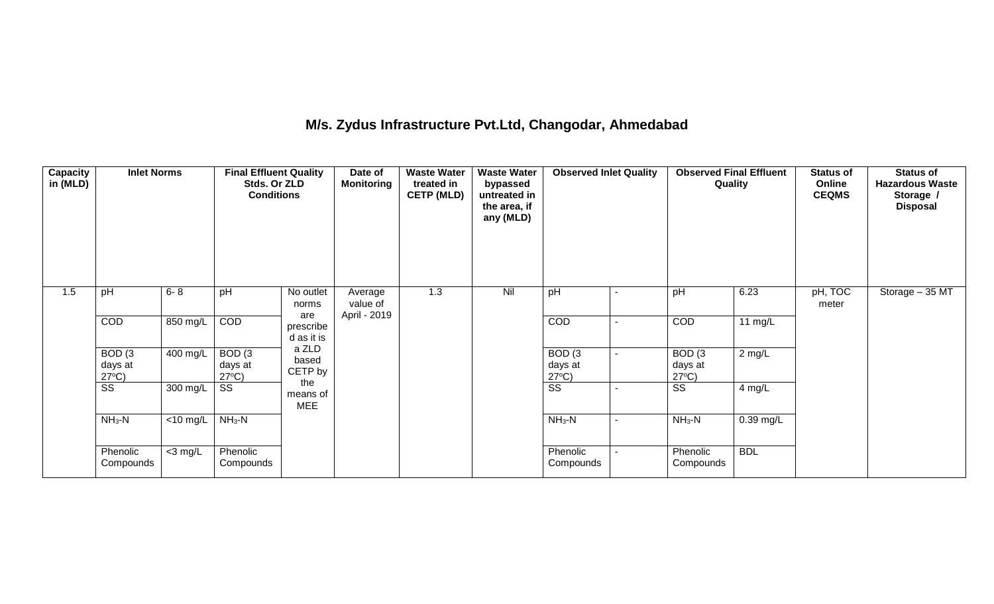## **M/s. Zydus Infrastructure Pvt.Ltd, Changodar, Ahmedabad**

| <b>Capacity</b><br>in (MLD) | <b>Inlet Norms</b>                              |             | <b>Final Effluent Quality</b><br>Stds. Or ZLD<br><b>Conditions</b> |                                | Date of<br><b>Monitoring</b>        | <b>Waste Water</b><br>treated in<br><b>CETP (MLD)</b> | <b>Waste Water</b><br>bypassed<br>untreated in<br>the area, if<br>any (MLD) | <b>Observed Inlet Quality</b>        |                | <b>Observed Final Effluent</b><br>Quality |             | <b>Status of</b><br>Online<br><b>CEQMS</b> | <b>Status of</b><br><b>Hazardous Waste</b><br>Storage /<br><b>Disposal</b> |
|-----------------------------|-------------------------------------------------|-------------|--------------------------------------------------------------------|--------------------------------|-------------------------------------|-------------------------------------------------------|-----------------------------------------------------------------------------|--------------------------------------|----------------|-------------------------------------------|-------------|--------------------------------------------|----------------------------------------------------------------------------|
| 1.5                         | pH                                              | $6 - 8$     | pH                                                                 | No outlet<br>norms             | Average<br>value of<br>April - 2019 | 1.3                                                   | Nil                                                                         | pH                                   | $\blacksquare$ | pH                                        | 6.23        | pH, TOC<br>meter                           | Storage - 35 MT                                                            |
|                             | COD                                             | 850 mg/L    | COD                                                                | are<br>prescribe<br>d as it is |                                     |                                                       |                                                                             | COD                                  | $\blacksquare$ | COD                                       | 11 mg/L     |                                            |                                                                            |
|                             | BOD <sub>(3</sub><br>days at<br>$27^{\circ}C$ ) | 400 mg/L    | BOD(3)<br>days at<br>$27^{\circ}C$ )                               | a ZLD<br>based<br>CETP by      |                                     |                                                       |                                                                             | BOD(3)<br>days at<br>$27^{\circ}C$ ) | ۰              | BOD(3)<br>days at<br>$27^{\circ}C$        | $2$ mg/L    |                                            |                                                                            |
|                             | SS                                              | 300 mg/L    | SS                                                                 | the<br>means of<br><b>MEE</b>  |                                     |                                                       |                                                                             | SS                                   |                | SS                                        | 4 mg/L      |                                            |                                                                            |
|                             | $NH3-N$                                         | $<$ 10 mg/L | $NH3-N$                                                            |                                |                                     |                                                       |                                                                             | $NH3-N$                              | $\blacksquare$ | $NH3-N$                                   | $0.39$ mg/L |                                            |                                                                            |
|                             | Phenolic<br>Compounds                           | $<$ 3 mg/L  | Phenolic<br>Compounds                                              |                                |                                     |                                                       |                                                                             | Phenolic<br>Compounds                |                | Phenolic<br>Compounds                     | <b>BDL</b>  |                                            |                                                                            |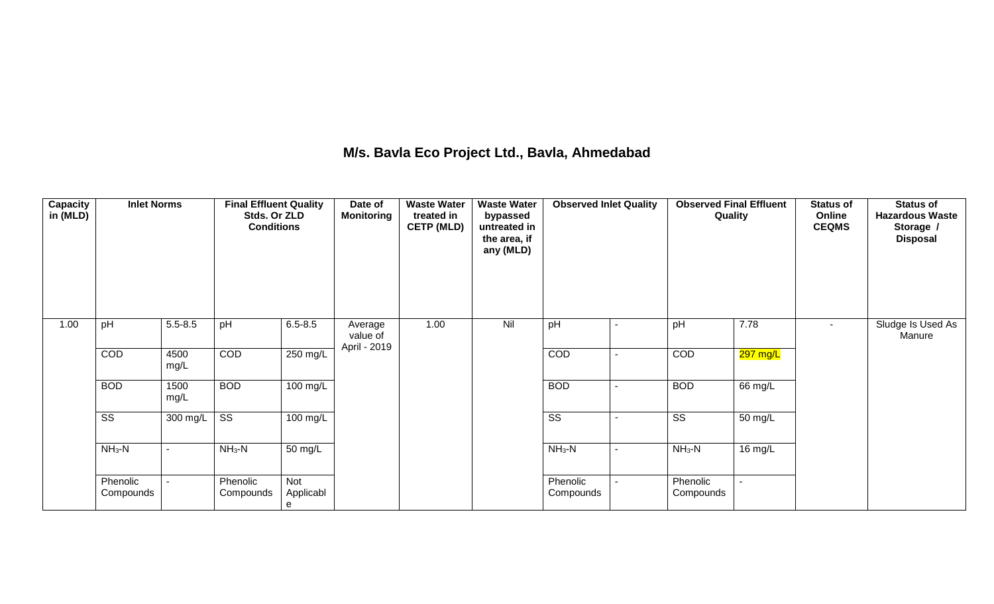## **M/s. Bavla Eco Project Ltd., Bavla, Ahmedabad**

| Capacity<br>in (MLD) | <b>Inlet Norms</b>     |              | <b>Final Effluent Quality</b><br>Stds. Or ZLD<br><b>Conditions</b> |                       | Date of<br><b>Monitoring</b>        | <b>Waste Water</b><br>treated in<br><b>CETP (MLD)</b> | <b>Waste Water</b><br>bypassed<br>untreated in<br>the area, if<br>any (MLD) | <b>Observed Inlet Quality</b> | <b>Observed Final Effluent</b><br>Quality |                       | <b>Status of</b><br>Online<br><b>CEQMS</b> | <b>Status of</b><br><b>Hazardous Waste</b><br>Storage /<br><b>Disposal</b> |
|----------------------|------------------------|--------------|--------------------------------------------------------------------|-----------------------|-------------------------------------|-------------------------------------------------------|-----------------------------------------------------------------------------|-------------------------------|-------------------------------------------|-----------------------|--------------------------------------------|----------------------------------------------------------------------------|
| 1.00                 | pH                     | $5.5 - 8.5$  | pH                                                                 | $6.5 - 8.5$           | Average<br>value of<br>April - 2019 | 1.00                                                  | Nil                                                                         | pH                            | pH                                        | 7.78                  | $\blacksquare$                             | Sludge Is Used As<br>Manure                                                |
|                      | COD                    | 4500<br>mg/L | COD                                                                | 250 mg/L              |                                     |                                                       |                                                                             | COD                           | COD                                       | $297$ mg/L            |                                            |                                                                            |
|                      | <b>BOD</b>             | 1500<br>mg/L | <b>BOD</b>                                                         | 100 mg/L              |                                     |                                                       |                                                                             | <b>BOD</b>                    | <b>BOD</b>                                | 66 mg/L               |                                            |                                                                            |
|                      | $\overline{\text{ss}}$ | 300 mg/L     | $\overline{\text{ss}}$                                             | $\overline{100}$ mg/L |                                     |                                                       |                                                                             | $\overline{\text{ss}}$        | $\overline{\text{SS}}$                    | 50 mg/L               |                                            |                                                                            |
|                      | $NH3-N$                | $\sim$       | $NH3-N$                                                            | 50 mg/L               |                                     |                                                       |                                                                             | $NH3-N$                       | $NH3-N$                                   | 16 mg/ $\overline{L}$ |                                            |                                                                            |
|                      | Phenolic<br>Compounds  |              | Phenolic<br>Compounds                                              | Not<br>Applicabl<br>е |                                     |                                                       |                                                                             | Phenolic<br>Compounds         | Phenolic<br>Compounds                     |                       |                                            |                                                                            |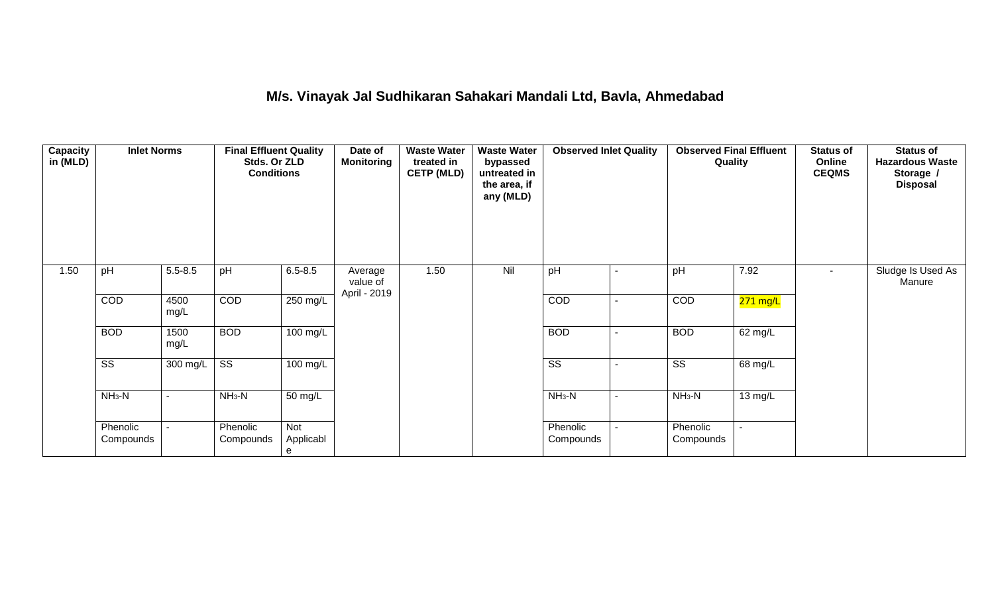## **M/s. Vinayak Jal Sudhikaran Sahakari Mandali Ltd, Bavla, Ahmedabad**

| Capacity<br>in (MLD) | <b>Inlet Norms</b>     |              | <b>Final Effluent Quality</b><br>Stds. Or ZLD<br><b>Conditions</b> |                       | Date of<br><b>Monitoring</b>        | <b>Waste Water</b><br>treated in<br><b>CETP (MLD)</b> | <b>Waste Water</b><br>bypassed<br>untreated in<br>the area, if<br>any (MLD) | <b>Observed Inlet Quality</b> |                          |                        | <b>Observed Final Effluent</b><br>Quality | <b>Status of</b><br>Online<br><b>CEQMS</b> | <b>Status of</b><br><b>Hazardous Waste</b><br>Storage /<br><b>Disposal</b> |
|----------------------|------------------------|--------------|--------------------------------------------------------------------|-----------------------|-------------------------------------|-------------------------------------------------------|-----------------------------------------------------------------------------|-------------------------------|--------------------------|------------------------|-------------------------------------------|--------------------------------------------|----------------------------------------------------------------------------|
| 1.50                 | pH                     | $5.5 - 8.5$  | pH                                                                 | $6.5 - 8.5$           | Average<br>value of<br>April - 2019 | 1.50                                                  | Nil                                                                         | pH                            |                          | pH                     | 7.92                                      | $\sim$                                     | Sludge Is Used As<br>Manure                                                |
|                      | COD                    | 4500<br>mg/L | COD                                                                | 250 mg/L              |                                     |                                                       |                                                                             | COD                           | $\blacksquare$           | COD                    | 271 mg/L                                  |                                            |                                                                            |
|                      | <b>BOD</b>             | 1500<br>mg/L | <b>BOD</b>                                                         | 100 mg/L              |                                     |                                                       |                                                                             | <b>BOD</b>                    | $\overline{\phantom{a}}$ | <b>BOD</b>             | 62 mg/L                                   |                                            |                                                                            |
|                      | $\overline{\text{ss}}$ | 300 mg/L     | $\overline{\text{SS}}$                                             | 100 mg/L              |                                     |                                                       |                                                                             | $\overline{\text{SS}}$        | $\overline{\phantom{a}}$ | $\overline{\text{ss}}$ | $68 \text{ mg/L}$                         |                                            |                                                                            |
|                      | $NH3-N$                |              | $NH3-N$                                                            | 50 mg/L               |                                     |                                                       |                                                                             | $NH_3-N$                      | $\blacksquare$           | $NH3-N$                | 13 mg/L                                   |                                            |                                                                            |
|                      | Phenolic<br>Compounds  |              | Phenolic<br>Compounds                                              | Not<br>Applicabl<br>e |                                     |                                                       |                                                                             | Phenolic<br>Compounds         | $\blacksquare$           | Phenolic<br>Compounds  |                                           |                                            |                                                                            |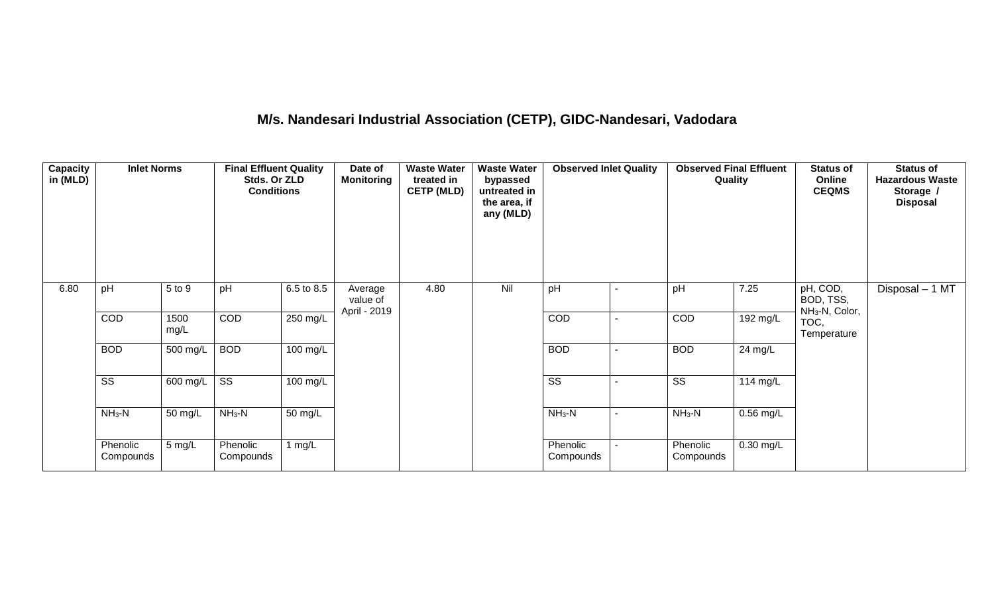# **M/s. Nandesari Industrial Association (CETP), GIDC-Nandesari, Vadodara**

| Capacity<br>in (MLD) | <b>Inlet Norms</b>     |              | <b>Final Effluent Quality</b><br>Stds. Or ZLD<br><b>Conditions</b> |                       | Date of<br><b>Monitoring</b>        | <b>Waste Water</b><br>treated in<br><b>CETP (MLD)</b> | <b>Waste Water</b><br>bypassed<br>untreated in<br>the area, if<br>any (MLD) | <b>Observed Inlet Quality</b> | <b>Observed Final Effluent</b><br>Quality |           | <b>Status of</b><br>Online<br><b>CEQMS</b>          | <b>Status of</b><br><b>Hazardous Waste</b><br>Storage /<br><b>Disposal</b> |
|----------------------|------------------------|--------------|--------------------------------------------------------------------|-----------------------|-------------------------------------|-------------------------------------------------------|-----------------------------------------------------------------------------|-------------------------------|-------------------------------------------|-----------|-----------------------------------------------------|----------------------------------------------------------------------------|
| 6.80                 | pH                     | 5 to 9       | pH                                                                 | 6.5 to 8.5            | Average<br>value of<br>April - 2019 | 4.80                                                  | Nil                                                                         | pH                            | pH                                        | 7.25      | pH, COD,<br>BOD, TSS,<br>NH <sub>3</sub> -N, Color, | Disposal - 1 MT                                                            |
|                      | COD                    | 1500<br>mg/L | COD                                                                | $250$ mg/L            |                                     |                                                       |                                                                             | COD                           | COD                                       | 192 mg/L  | TOC,<br>Temperature                                 |                                                                            |
|                      | <b>BOD</b>             | 500 mg/L     | <b>BOD</b>                                                         | $100 \text{ mg/L}$    |                                     |                                                       |                                                                             | <b>BOD</b>                    | <b>BOD</b>                                | 24 mg/L   |                                                     |                                                                            |
|                      | $\overline{\text{ss}}$ | 600 mg/L     | $\overline{\text{ss}}$                                             | $\overline{100}$ mg/L |                                     |                                                       |                                                                             | $\overline{\text{ss}}$        | $\overline{\text{ss}}$                    | 114 mg/L  |                                                     |                                                                            |
|                      | $NH3-N$                | 50 mg/L      | $NH3-N$                                                            | 50 mg/L               |                                     |                                                       |                                                                             | $NH_3-N$                      | $NH_3-N$                                  | 0.56 mg/L |                                                     |                                                                            |
|                      | Phenolic<br>Compounds  | 5 mg/L       | Phenolic<br>Compounds                                              | 1 $mg/L$              |                                     |                                                       |                                                                             | Phenolic<br>Compounds         | Phenolic<br>Compounds                     | 0.30 mg/L |                                                     |                                                                            |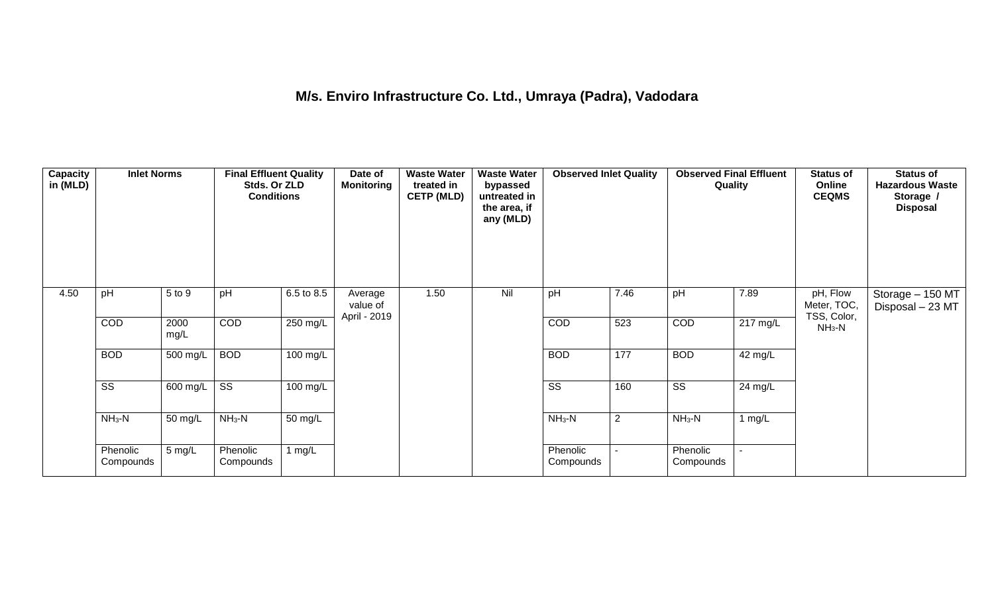## **M/s. Enviro Infrastructure Co. Ltd., Umraya (Padra), Vadodara**

| Capacity<br>in (MLD) | <b>Inlet Norms</b>     |              | <b>Final Effluent Quality</b><br>Stds. Or ZLD<br><b>Conditions</b> |                    | Date of<br><b>Monitoring</b>        | <b>Waste Water</b><br>treated in<br><b>CETP (MLD)</b> | <b>Waste Water</b><br>bypassed<br>untreated in<br>the area, if<br>any (MLD) | <b>Observed Inlet Quality</b> |      | <b>Observed Final Effluent</b><br>Quality |                    | <b>Status of</b><br>Online<br><b>CEQMS</b> | <b>Status of</b><br><b>Hazardous Waste</b><br>Storage /<br><b>Disposal</b> |
|----------------------|------------------------|--------------|--------------------------------------------------------------------|--------------------|-------------------------------------|-------------------------------------------------------|-----------------------------------------------------------------------------|-------------------------------|------|-------------------------------------------|--------------------|--------------------------------------------|----------------------------------------------------------------------------|
| 4.50                 | pH                     | 5 to 9       | pH                                                                 | 6.5 to 8.5         | Average<br>value of<br>April - 2019 | 1.50                                                  | Nil                                                                         | pH                            | 7.46 | pH                                        | 7.89               | pH, Flow<br>Meter, TOC,<br>TSS, Color,     | Storage - 150 MT<br>Disposal - 23 MT                                       |
|                      | COD                    | 2000<br>mg/L | COD                                                                | 250 mg/L           |                                     |                                                       |                                                                             | COD                           | 523  | COD                                       | $217 \text{ mg/L}$ | $NH3-N$                                    |                                                                            |
|                      | <b>BOD</b>             | 500 mg/L     | <b>BOD</b>                                                         | 100 mg/L           |                                     |                                                       |                                                                             | <b>BOD</b>                    | 177  | <b>BOD</b>                                | 42 mg/L            |                                            |                                                                            |
|                      | $\overline{\text{ss}}$ | 600 mg/L     | $\overline{\text{ss}}$                                             | $100 \text{ mg/L}$ |                                     |                                                       |                                                                             | $\overline{\text{ss}}$        | 160  | $\overline{\text{ss}}$                    | 24 mg/L            |                                            |                                                                            |
|                      | $NH3-N$                | 50 mg/L      | $NH_3-N$                                                           | 50 mg/L            |                                     |                                                       |                                                                             | $NH3-N$                       | 2    | $NH_3-N$                                  | 1 $mg/L$           |                                            |                                                                            |
|                      | Phenolic<br>Compounds  | 5 mg/L       | Phenolic<br>Compounds                                              | 1 $mg/L$           |                                     |                                                       |                                                                             | Phenolic<br>Compounds         |      | Phenolic<br>Compounds                     | $\blacksquare$     |                                            |                                                                            |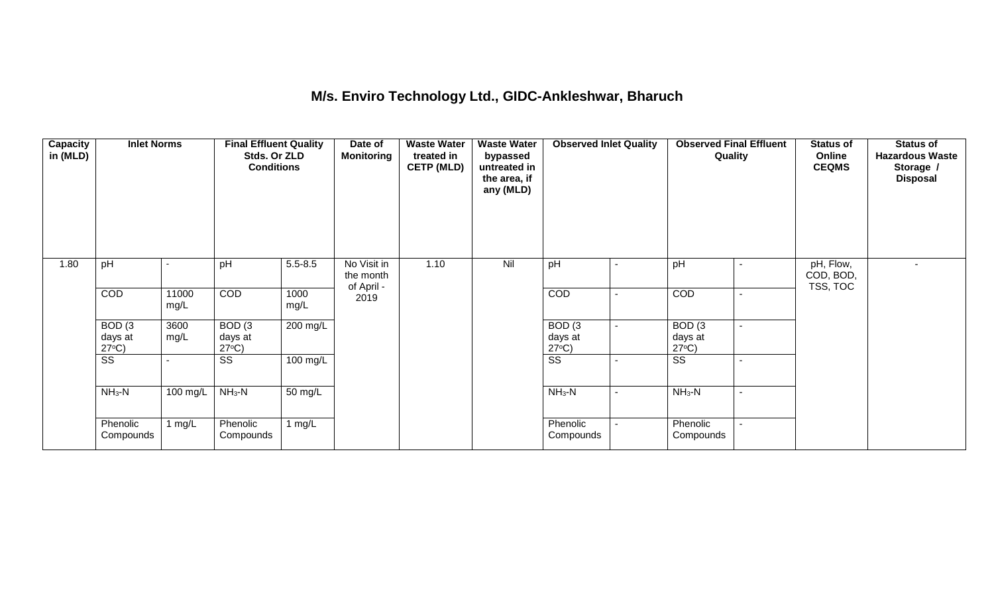#### **M/s. Enviro Technology Ltd., GIDC-Ankleshwar, Bharuch**

| <b>Capacity</b><br>in (MLD) | <b>Inlet Norms</b>                              |               | <b>Final Effluent Quality</b><br>Stds. Or ZLD<br><b>Conditions</b> |                    | Date of<br><b>Monitoring</b> | <b>Waste Water</b><br>treated in<br><b>CETP (MLD)</b> | <b>Waste Water</b><br>bypassed<br>untreated in<br>the area, if<br>any (MLD) | <b>Observed Inlet Quality</b>        | <b>Observed Final Effluent</b><br>Quality |                | <b>Status of</b><br>Online<br><b>CEQMS</b> | <b>Status of</b><br><b>Hazardous Waste</b><br>Storage /<br><b>Disposal</b> |
|-----------------------------|-------------------------------------------------|---------------|--------------------------------------------------------------------|--------------------|------------------------------|-------------------------------------------------------|-----------------------------------------------------------------------------|--------------------------------------|-------------------------------------------|----------------|--------------------------------------------|----------------------------------------------------------------------------|
| 1.80                        | pH                                              |               | pH                                                                 | $5.5 - 8.5$        | No Visit in<br>the month     | 1.10                                                  | Nil                                                                         | pH                                   | pH                                        | $\blacksquare$ | pH, Flow,<br>COD, BOD,<br>TSS, TOC         |                                                                            |
|                             | <b>COD</b>                                      | 11000<br>mg/L | <b>COD</b>                                                         | 1000<br>mg/L       | of April -<br>2019           |                                                       |                                                                             | <b>COD</b>                           | COD                                       | $\sim$         |                                            |                                                                            |
|                             | BOD <sub>(3</sub><br>days at<br>$27^{\circ}C$ ) | 3600<br>mg/L  | BOD <sub>(3</sub><br>days at<br>$27^{\circ}C$ )                    | 200 mg/L           |                              |                                                       |                                                                             | BOD(3)<br>days at<br>$27^{\circ}C$ ) | BOD(3)<br>days at<br>$27^{\circ}C$ )      | $\sim$         |                                            |                                                                            |
|                             | $\overline{\text{ss}}$                          |               | $\overline{\text{SS}}$                                             | $100 \text{ mg/L}$ |                              |                                                       |                                                                             | $\overline{\text{ss}}$               | $\overline{\text{ss}}$                    | $\sim$         |                                            |                                                                            |
|                             | $NH3-N$                                         | 100 mg/L      | $NH3-N$                                                            | 50 mg/L            |                              |                                                       |                                                                             | $NH_3-N$                             | $NH3-N$                                   | $\blacksquare$ |                                            |                                                                            |
|                             | Phenolic<br>Compounds                           | 1 mg/L        | Phenolic<br>Compounds                                              | 1 mg/L             |                              |                                                       |                                                                             | Phenolic<br>Compounds                | Phenolic<br>Compounds                     | $\sim$         |                                            |                                                                            |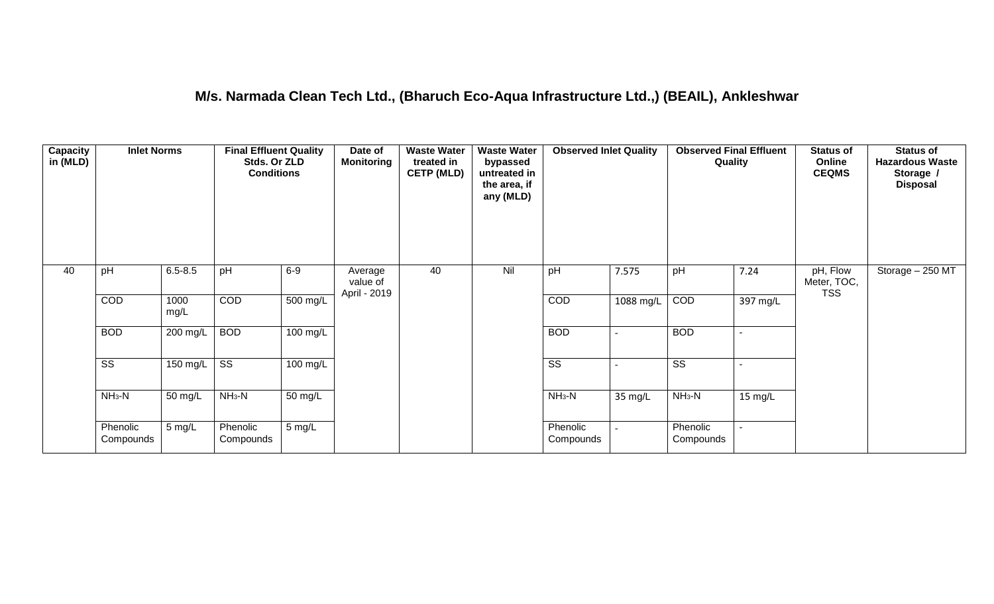#### **M/s. Narmada Clean Tech Ltd., (Bharuch Eco-Aqua Infrastructure Ltd.,) (BEAIL), Ankleshwar**

| Capacity<br>in (MLD) | <b>Inlet Norms</b>     |                  | <b>Final Effluent Quality</b><br>Stds. Or ZLD<br><b>Conditions</b> |                      | Date of<br><b>Monitoring</b>        | <b>Waste Water</b><br>treated in<br><b>CETP (MLD)</b> | <b>Waste Water</b><br>bypassed<br>untreated in<br>the area, if<br>any (MLD) | <b>Observed Inlet Quality</b> |           | <b>Observed Final Effluent</b><br>Quality |                | <b>Status of</b><br>Online<br><b>CEQMS</b> | <b>Status of</b><br><b>Hazardous Waste</b><br>Storage /<br><b>Disposal</b> |
|----------------------|------------------------|------------------|--------------------------------------------------------------------|----------------------|-------------------------------------|-------------------------------------------------------|-----------------------------------------------------------------------------|-------------------------------|-----------|-------------------------------------------|----------------|--------------------------------------------|----------------------------------------------------------------------------|
| 40                   | pH                     | $6.5 - 8.5$      | pH                                                                 | $6-9$                | Average<br>value of<br>April - 2019 | 40                                                    | Nil                                                                         | pH                            | 7.575     | pH                                        | 7.24           | pH, Flow<br>Meter, TOC,<br><b>TSS</b>      | Storage - 250 MT                                                           |
|                      | COD                    | 1000<br>mg/L     | COD                                                                | $500 \text{ mg/L}$   |                                     |                                                       |                                                                             | COD                           | 1088 mg/L | COD                                       | 397 mg/L       |                                            |                                                                            |
|                      | <b>BOD</b>             | 200 mg/L         | <b>BOD</b>                                                         | 100 mg/L             |                                     |                                                       |                                                                             | <b>BOD</b>                    |           | <b>BOD</b>                                | $\sim$         |                                            |                                                                            |
|                      | $\overline{\text{ss}}$ | 150 mg/L $\vert$ | $\overline{\text{ss}}$                                             | $100$ mg/L           |                                     |                                                       |                                                                             | $\overline{\text{ss}}$        |           | $\overline{\text{ss}}$                    | $\blacksquare$ |                                            |                                                                            |
|                      | $NH3-N$                | 50 mg/L          | $NH3-N$                                                            | $\overline{50}$ mg/L |                                     |                                                       |                                                                             | $NH3-N$                       | 35 mg/L   | $NH3-N$                                   | 15 mg/L        |                                            |                                                                            |
|                      | Phenolic<br>Compounds  | 5 mg/L           | Phenolic<br>Compounds                                              | $5 \text{ mg/L}$     |                                     |                                                       |                                                                             | Phenolic<br>Compounds         |           | Phenolic<br>Compounds                     |                |                                            |                                                                            |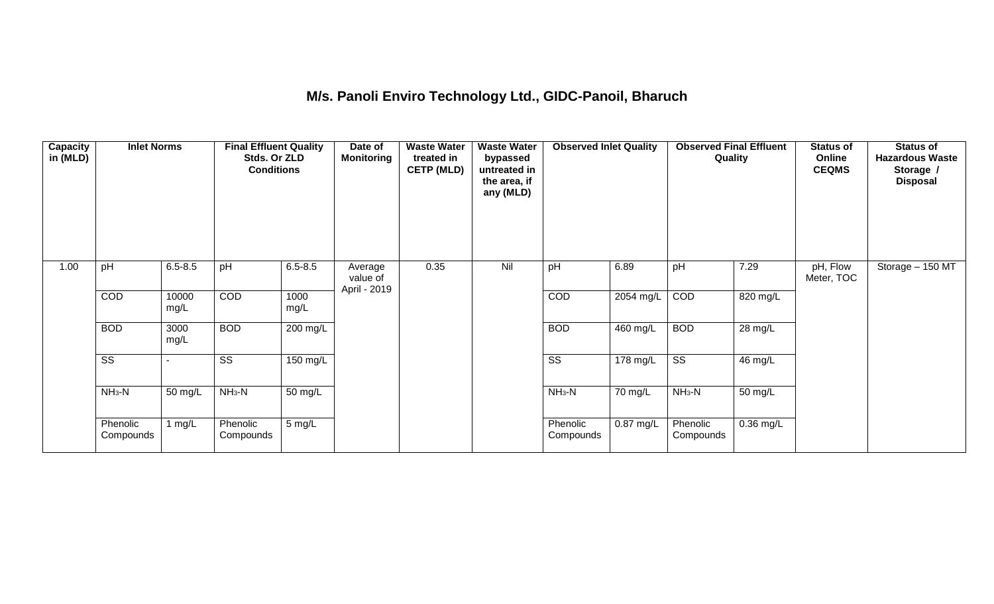## **M/s. Panoli Enviro Technology Ltd., GIDC-Panoil, Bharuch**

| <b>Capacity</b><br>in (MLD) | <b>Inlet Norms</b>     |               | <b>Final Effluent Quality</b><br>Stds. Or ZLD<br><b>Conditions</b> |              | Date of<br><b>Monitoring</b>        | <b>Waste Water</b><br>treated in<br><b>CETP (MLD)</b> | <b>Waste Water</b><br>bypassed<br>untreated in<br>the area, if<br>any (MLD) | <b>Observed Inlet Quality</b> |                    | <b>Observed Final Effluent</b><br>Quality |             | <b>Status of</b><br>Online<br><b>CEQMS</b> | <b>Status of</b><br><b>Hazardous Waste</b><br>Storage /<br><b>Disposal</b> |
|-----------------------------|------------------------|---------------|--------------------------------------------------------------------|--------------|-------------------------------------|-------------------------------------------------------|-----------------------------------------------------------------------------|-------------------------------|--------------------|-------------------------------------------|-------------|--------------------------------------------|----------------------------------------------------------------------------|
| 1.00                        | pH                     | $6.5 - 8.5$   | pH                                                                 | $6.5 - 8.5$  | Average<br>value of<br>April - 2019 | 0.35                                                  | Nil                                                                         | pH                            | 6.89               | pH                                        | 7.29        | pH, Flow<br>Meter, TOC                     | Storage - 150 MT                                                           |
|                             | COD                    | 10000<br>mg/L | COD                                                                | 1000<br>mg/L |                                     |                                                       |                                                                             | <b>COD</b>                    | 2054 mg/L          | COD                                       | 820 mg/L    |                                            |                                                                            |
|                             | <b>BOD</b>             | 3000<br>mg/L  | <b>BOD</b>                                                         | 200 mg/L     |                                     |                                                       |                                                                             | <b>BOD</b>                    | 460 mg/L           | <b>BOD</b>                                | 28 mg/L     |                                            |                                                                            |
|                             | $\overline{\text{ss}}$ |               | $\overline{\text{ss}}$                                             | 150 mg/L     |                                     |                                                       |                                                                             | $\overline{\text{SS}}$        | $178 \text{ mg/L}$ | $\overline{\text{ss}}$                    | 46 mg/L     |                                            |                                                                            |
|                             | $NH3-N$                | 50 mg/L       | $NH3-N$                                                            | 50 mg/L      |                                     |                                                       |                                                                             | $NH3-N$                       | 70 mg/L            | $NH3-N$                                   | 50 mg/L     |                                            |                                                                            |
|                             | Phenolic<br>Compounds  | 1 $mg/L$      | Phenolic<br>Compounds                                              | 5 mg/L       |                                     |                                                       |                                                                             | Phenolic<br>Compounds         | $0.87$ mg/L        | Phenolic<br>Compounds                     | $0.36$ mg/L |                                            |                                                                            |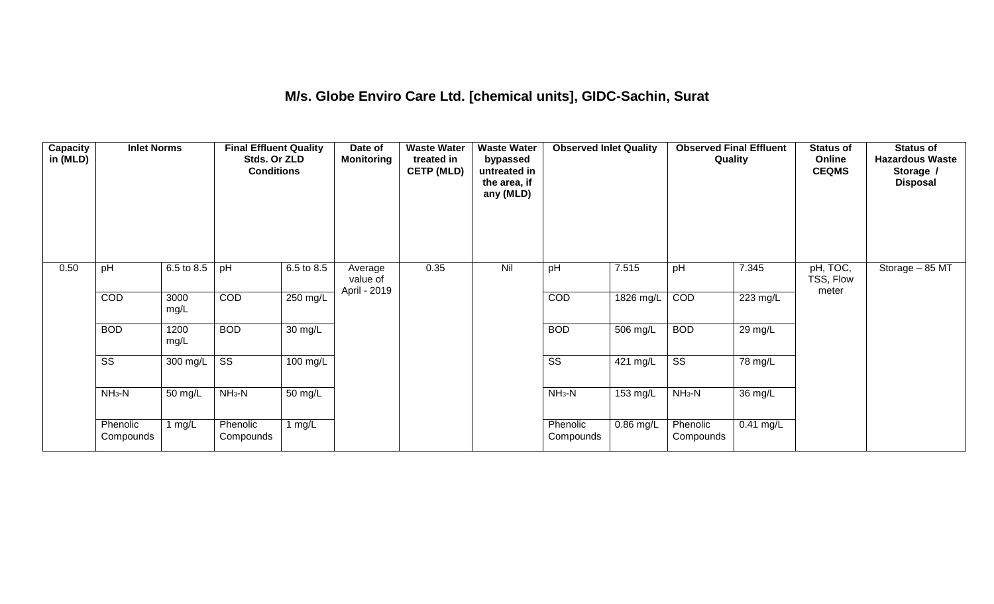#### **M/s. Globe Enviro Care Ltd. [chemical units], GIDC-Sachin, Surat**

| Capacity<br>in (MLD) | <b>Inlet Norms</b>     |                    | <b>Final Effluent Quality</b><br>Stds. Or ZLD<br><b>Conditions</b> |                    | Date of<br><b>Monitoring</b>        | <b>Waste Water</b><br>treated in<br><b>CETP (MLD)</b> | <b>Waste Water</b><br>bypassed<br>untreated in<br>the area, if<br>any (MLD) | <b>Observed Inlet Quality</b> |                    | <b>Observed Final Effluent</b><br>Quality |             | <b>Status of</b><br>Online<br><b>CEQMS</b> | <b>Status of</b><br><b>Hazardous Waste</b><br>Storage /<br><b>Disposal</b> |
|----------------------|------------------------|--------------------|--------------------------------------------------------------------|--------------------|-------------------------------------|-------------------------------------------------------|-----------------------------------------------------------------------------|-------------------------------|--------------------|-------------------------------------------|-------------|--------------------------------------------|----------------------------------------------------------------------------|
| 0.50                 | pH                     | 6.5 to 8.5         | pH                                                                 | 6.5 to 8.5         | Average<br>value of<br>April - 2019 | 0.35                                                  | Nil                                                                         | pH                            | 7.515              | pH                                        | 7.345       | pH, TOC,<br>TSS, Flow<br>meter             | Storage - 85 MT                                                            |
|                      | COD                    | 3000<br>mg/L       | COD                                                                | 250 mg/L           |                                     |                                                       |                                                                             | COD                           | 1826 mg/L          | COD                                       | 223 mg/L    |                                            |                                                                            |
|                      | <b>BOD</b>             | 1200<br>mg/L       | <b>BOD</b>                                                         | 30 mg/L            |                                     |                                                       |                                                                             | <b>BOD</b>                    | 506 mg/L           | <b>BOD</b>                                | 29 mg/L     |                                            |                                                                            |
|                      | $\overline{\text{ss}}$ | $300 \text{ mg/L}$ | $\overline{\text{ss}}$                                             | $100 \text{ mg/L}$ |                                     |                                                       |                                                                             | $\overline{\text{ss}}$        | $421 \text{ mg/L}$ | $\overline{\text{ss}}$                    | 78 mg/L     |                                            |                                                                            |
|                      | $NH3-N$                | 50 mg/L            | $NH3-N$                                                            | 50 mg/L            |                                     |                                                       |                                                                             | $NH3-N$                       | 153 mg/L           | $NH3-N$                                   | 36 mg/L     |                                            |                                                                            |
|                      | Phenolic<br>Compounds  | 1 mg/L             | Phenolic<br>Compounds                                              | 1 $mg/L$           |                                     |                                                       |                                                                             | Phenolic<br>Compounds         | 0.86 mg/L          | Phenolic<br>Compounds                     | $0.41$ mg/L |                                            |                                                                            |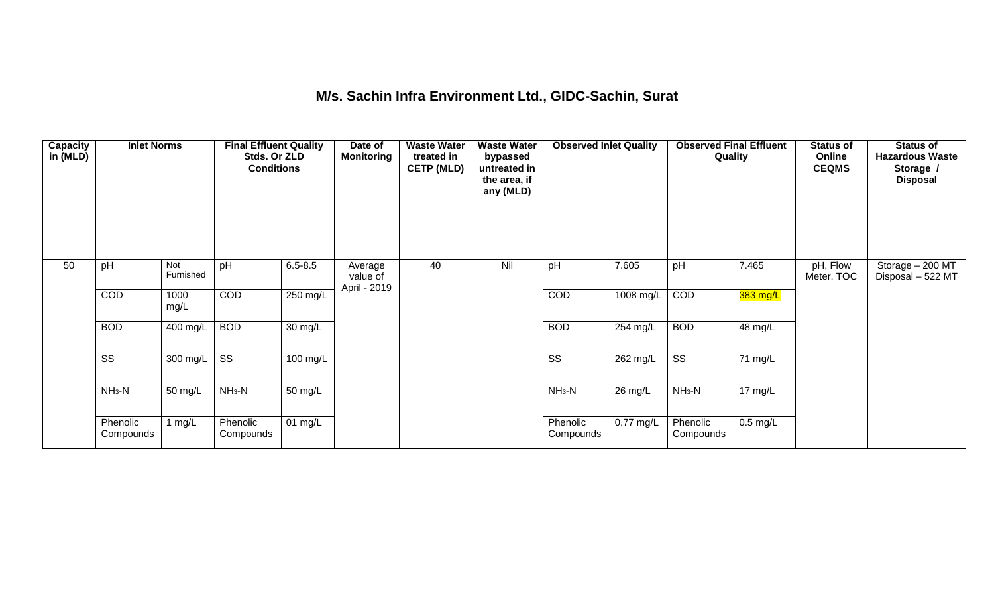#### **M/s. Sachin Infra Environment Ltd., GIDC-Sachin, Surat**

| <b>Capacity</b><br>in (MLD) | <b>Inlet Norms</b>     |                  | <b>Final Effluent Quality</b><br>Stds. Or ZLD<br><b>Conditions</b> |                      | Date of<br><b>Monitoring</b>        | <b>Waste Water</b><br>treated in<br><b>CETP (MLD)</b> | <b>Waste Water</b><br>bypassed<br>untreated in<br>the area, if<br>any (MLD) | <b>Observed Inlet Quality</b> |                      | <b>Observed Final Effluent</b><br>Quality |            | <b>Status of</b><br>Online<br><b>CEQMS</b> | <b>Status of</b><br><b>Hazardous Waste</b><br>Storage /<br><b>Disposal</b> |
|-----------------------------|------------------------|------------------|--------------------------------------------------------------------|----------------------|-------------------------------------|-------------------------------------------------------|-----------------------------------------------------------------------------|-------------------------------|----------------------|-------------------------------------------|------------|--------------------------------------------|----------------------------------------------------------------------------|
| 50                          | pH                     | Not<br>Furnished | pH                                                                 | $6.5 - 8.5$          | Average<br>value of<br>April - 2019 | 40                                                    | Nil                                                                         | pH                            | 7.605                | pH                                        | 7.465      | pH, Flow<br>Meter, TOC                     | Storage - 200 MT<br>Disposal - 522 MT                                      |
|                             | COD                    | 1000<br>mg/L     | COD                                                                | 250 mg/L             |                                     |                                                       |                                                                             | COD                           | 1008 mg/L            | COD                                       | $383$ mg/L |                                            |                                                                            |
|                             | <b>BOD</b>             | 400 mg/L         | <b>BOD</b>                                                         | 30 mg/L              |                                     |                                                       |                                                                             | <b>BOD</b>                    | 254 mg/L             | <b>BOD</b>                                | 48 mg/L    |                                            |                                                                            |
|                             | $\overline{\text{ss}}$ | 300 mg/L         | $\overline{\text{ss}}$                                             | $100 \text{ mg/L}$   |                                     |                                                       |                                                                             | $\overline{\text{ss}}$        | 262 mg/L             | $\overline{\text{ss}}$                    | 71 mg/L    |                                            |                                                                            |
|                             | $NH3-N$                | 50 mg/L          | $NH_3-N$                                                           | $\overline{50}$ mg/L |                                     |                                                       |                                                                             | $NH_3-N$                      | $\overline{2}6$ mg/L | $NH_3-N$                                  | 17 mg/L    |                                            |                                                                            |
|                             | Phenolic<br>Compounds  | mg/L             | Phenolic<br>Compounds                                              | 01 mg/L              |                                     |                                                       |                                                                             | Phenolic<br>Compounds         | $0.77$ mg/L          | Phenolic<br>Compounds                     | $0.5$ mg/L |                                            |                                                                            |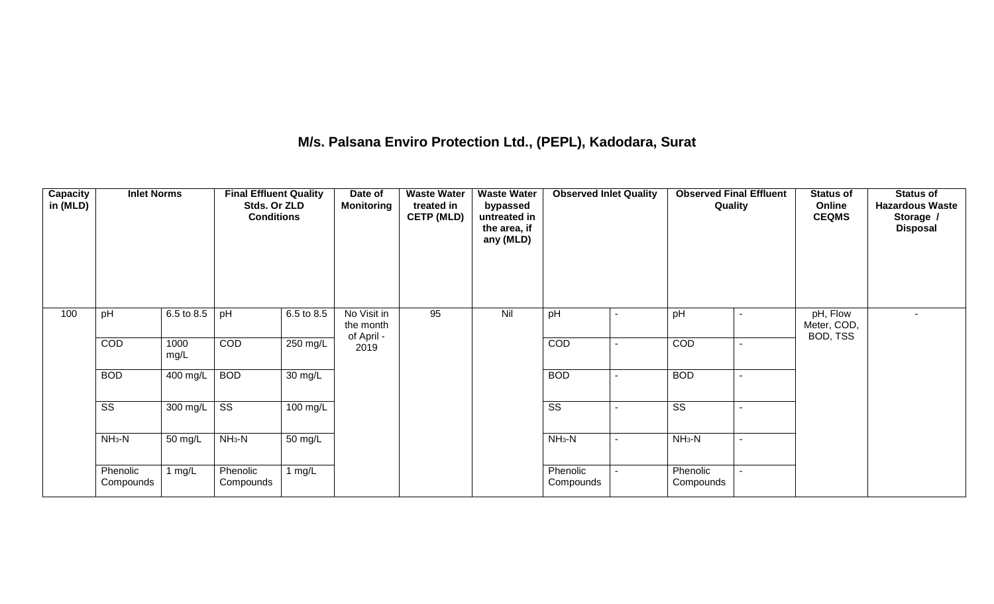## **M/s. Palsana Enviro Protection Ltd., (PEPL), Kadodara, Surat**

| Capacity<br>in (MLD) | <b>Inlet Norms</b>     |              | <b>Final Effluent Quality</b><br>Stds. Or ZLD<br><b>Conditions</b> |                      | Date of<br><b>Monitoring</b>           | <b>Waste Water</b><br>treated in<br><b>CETP (MLD)</b> | <b>Waste Water</b><br>bypassed<br>untreated in<br>the area, if<br>any (MLD) | <b>Observed Inlet Quality</b> | <b>Observed Final Effluent</b><br>Quality | <b>Status of</b><br>Online<br><b>CEQMS</b> | <b>Status of</b><br><b>Hazardous Waste</b><br>Storage /<br><b>Disposal</b> |
|----------------------|------------------------|--------------|--------------------------------------------------------------------|----------------------|----------------------------------------|-------------------------------------------------------|-----------------------------------------------------------------------------|-------------------------------|-------------------------------------------|--------------------------------------------|----------------------------------------------------------------------------|
| 100                  | pH                     | 6.5 to 8.5   | pH                                                                 | 6.5 to 8.5           | No Visit in<br>the month<br>of April - | 95                                                    | Nil                                                                         | pH                            | pH                                        | pH, Flow<br>Meter, COD,<br>BOD, TSS        | $\sim$                                                                     |
|                      | COD                    | 1000<br>mg/L | COD                                                                | 250 mg/L             | 2019                                   |                                                       |                                                                             | COD                           | COD                                       |                                            |                                                                            |
|                      | <b>BOD</b>             | 400 mg/L     | <b>BOD</b>                                                         | $\overline{30}$ mg/L |                                        |                                                       |                                                                             | <b>BOD</b>                    | <b>BOD</b>                                |                                            |                                                                            |
|                      | $\overline{\text{ss}}$ | 300 mg/L     | $\overline{\text{ss}}$                                             | 100 mg/L             |                                        |                                                       |                                                                             | $\overline{\text{ss}}$        | $\overline{\text{ss}}$                    |                                            |                                                                            |
|                      | $NH3-N$                | 50 mg/L      | $NH3-N$                                                            | 50 mg/L              |                                        |                                                       |                                                                             | $NH3-N$                       | $NH_3-N$                                  |                                            |                                                                            |
|                      | Phenolic<br>Compounds  | 1 $mg/L$     | Phenolic<br>Compounds                                              | 1 $mg/L$             |                                        |                                                       |                                                                             | Phenolic<br>Compounds         | Phenolic<br>Compounds                     |                                            |                                                                            |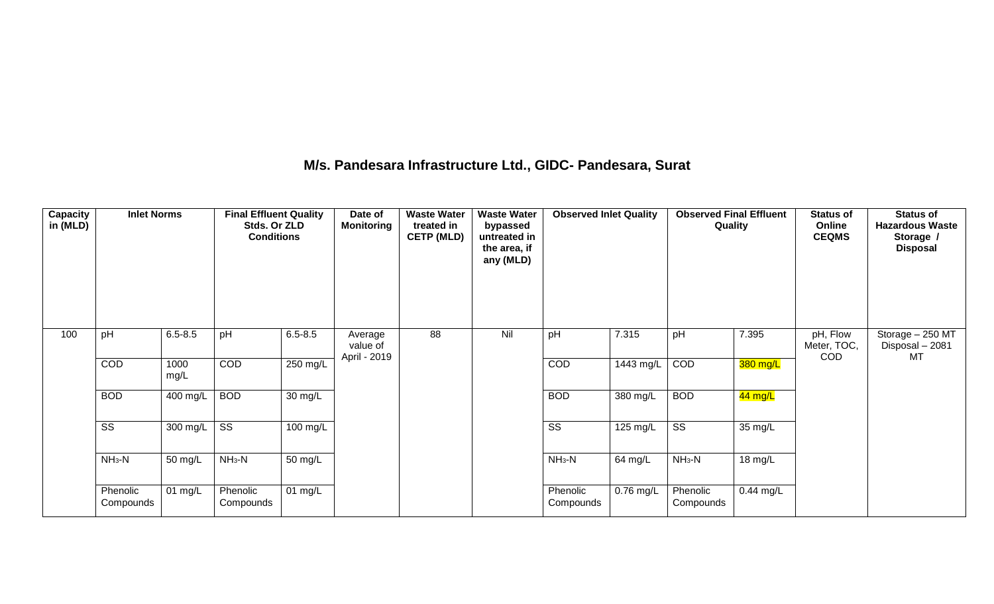#### **M/s. Pandesara Infrastructure Ltd., GIDC- Pandesara, Surat**

| Capacity<br>in (MLD) | <b>Inlet Norms</b>    |                                 | <b>Final Effluent Quality</b><br>Stds. Or ZLD<br><b>Conditions</b> |                      | Date of<br><b>Monitoring</b>        | <b>Waste Water</b><br>treated in<br><b>CETP (MLD)</b> | <b>Waste Water</b><br>bypassed<br>untreated in<br>the area, if<br>any (MLD) | <b>Observed Inlet Quality</b> |           | <b>Observed Final Effluent</b><br>Quality |             | <b>Status of</b><br>Online<br><b>CEQMS</b> | <b>Status of</b><br><b>Hazardous Waste</b><br>Storage /<br><b>Disposal</b> |
|----------------------|-----------------------|---------------------------------|--------------------------------------------------------------------|----------------------|-------------------------------------|-------------------------------------------------------|-----------------------------------------------------------------------------|-------------------------------|-----------|-------------------------------------------|-------------|--------------------------------------------|----------------------------------------------------------------------------|
| 100                  | pH                    | $6.5 - 8.5$                     | pH                                                                 | $6.5 - 8.5$          | Average<br>value of<br>April - 2019 | 88                                                    | Nil                                                                         | pH                            | 7.315     | pH                                        | 7.395       | pH, Flow<br>Meter, TOC,<br><b>COD</b>      | Storage - 250 MT<br>Disposal - 2081<br>MT                                  |
|                      | COD                   | 1000<br>mg/L                    | <b>COD</b>                                                         | 250 mg/L             |                                     |                                                       |                                                                             | COD                           | 1443 mg/L | COD                                       | 380 mg/L    |                                            |                                                                            |
|                      | <b>BOD</b>            | 400 mg/L                        | <b>BOD</b>                                                         | $\overline{30}$ mg/L |                                     |                                                       |                                                                             | <b>BOD</b>                    | 380 mg/L  | <b>BOD</b>                                | $44$ mg/L   |                                            |                                                                            |
|                      | SS                    | 300 mg/L $\overline{\text{SS}}$ |                                                                    | 100 mg/L             |                                     |                                                       |                                                                             | $\overline{\text{ss}}$        | 125 mg/L  | $\overline{\text{ss}}$                    | 35 mg/L     |                                            |                                                                            |
|                      | $NH3-N$               | 50 mg/L                         | $NH3-N$                                                            | 50 mg/L              |                                     |                                                       |                                                                             | $NH_3-N$                      | 64 mg/L   | $NH_3-N$                                  | 18 mg/L     |                                            |                                                                            |
|                      | Phenolic<br>Compounds | $01$ mg/L                       | Phenolic<br>Compounds                                              | 01 mg/L              |                                     |                                                       |                                                                             | Phenolic<br>Compounds         | 0.76 mg/L | Phenolic<br>Compounds                     | $0.44$ mg/L |                                            |                                                                            |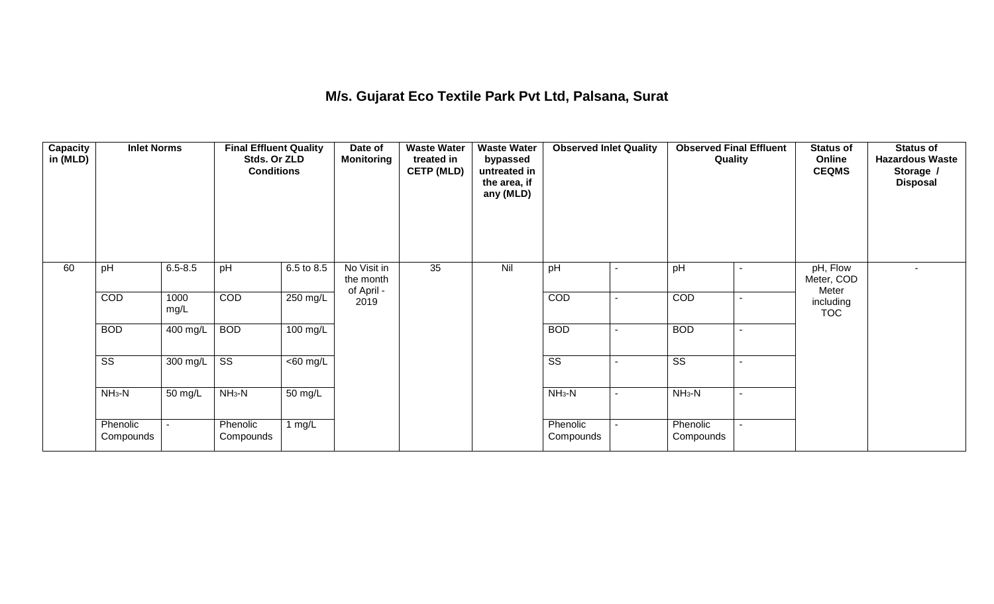## **M/s. Gujarat Eco Textile Park Pvt Ltd, Palsana, Surat**

| Capacity<br>in (MLD) | <b>Inlet Norms</b>     |              | <b>Final Effluent Quality</b><br>Stds. Or ZLD<br><b>Conditions</b> |                      | Date of<br>Monitoring                  | <b>Waste Water</b><br>treated in<br><b>CETP (MLD)</b> | <b>Waste Water</b><br>bypassed<br>untreated in<br>the area, if<br>any (MLD) | <b>Observed Inlet Quality</b> |                | <b>Observed Final Effluent</b><br>Quality |                          | <b>Status of</b><br>Online<br><b>CEQMS</b> | <b>Status of</b><br><b>Hazardous Waste</b><br>Storage /<br><b>Disposal</b> |
|----------------------|------------------------|--------------|--------------------------------------------------------------------|----------------------|----------------------------------------|-------------------------------------------------------|-----------------------------------------------------------------------------|-------------------------------|----------------|-------------------------------------------|--------------------------|--------------------------------------------|----------------------------------------------------------------------------|
| 60                   | pH                     | $6.5 - 8.5$  | pH                                                                 | 6.5 to 8.5           | No Visit in<br>the month<br>of April - | 35                                                    | Nil                                                                         | pH                            | -              | pH                                        |                          | pH, Flow<br>Meter, COD<br>Meter            |                                                                            |
|                      | COD                    | 1000<br>mg/L | COD                                                                | 250 mg/L             | 2019                                   |                                                       |                                                                             | COD                           | $\blacksquare$ | COD                                       | $\sim$                   | including<br><b>TOC</b>                    |                                                                            |
|                      | <b>BOD</b>             | 400 mg/L     | <b>BOD</b>                                                         | 100 mg/L             |                                        |                                                       |                                                                             | <b>BOD</b>                    | $\blacksquare$ | <b>BOD</b>                                | $\overline{\phantom{a}}$ |                                            |                                                                            |
|                      | $\overline{\text{ss}}$ | 300 mg/L     | $\overline{\text{ss}}$                                             | $\overline{60}$ mg/L |                                        |                                                       |                                                                             | $\overline{\text{ss}}$        | $\blacksquare$ | $\overline{\text{ss}}$                    |                          |                                            |                                                                            |
|                      | $NH3-N$                | 50 mg/L      | $NH3-N$                                                            | 50 mg/L              |                                        |                                                       |                                                                             | $NH_3-N$                      | $\blacksquare$ | $NH_3-N$                                  |                          |                                            |                                                                            |
|                      | Phenolic<br>Compounds  |              | Phenolic<br>Compounds                                              | 1 $mg/L$             |                                        |                                                       |                                                                             | Phenolic<br>Compounds         | $\blacksquare$ | Phenolic<br>Compounds                     |                          |                                            |                                                                            |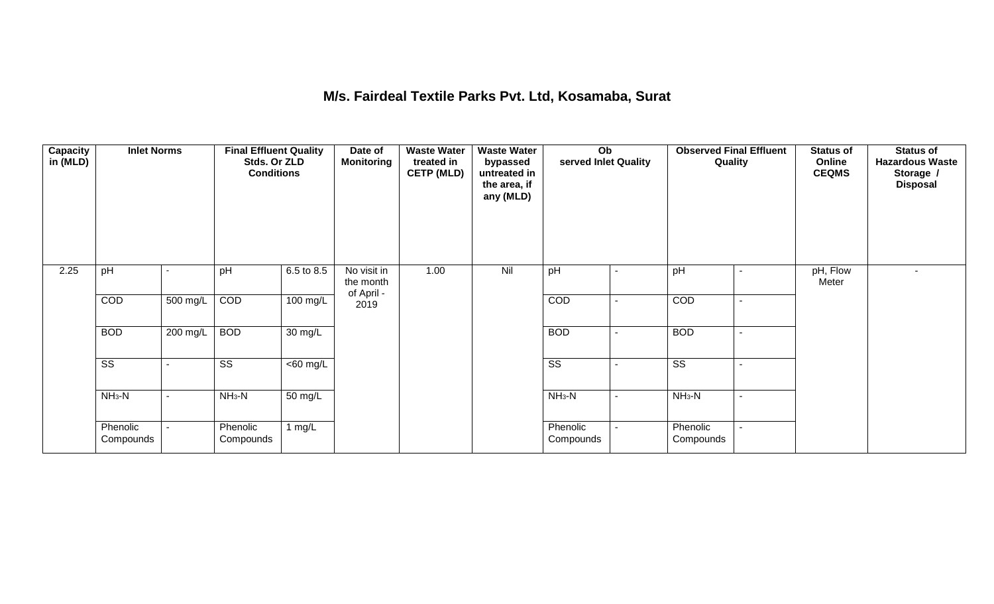#### **M/s. Fairdeal Textile Parks Pvt. Ltd, Kosamaba, Surat**

| <b>Capacity</b><br>in (MLD) | <b>Inlet Norms</b>     |          | <b>Final Effluent Quality</b><br>Stds. Or ZLD<br><b>Conditions</b> |                      | Date of<br><b>Monitoring</b>           | <b>Waste Water</b><br>treated in<br><b>CETP (MLD)</b> | <b>Waste Water</b><br>bypassed<br>untreated in<br>the area, if<br>any (MLD) | Ob<br>served Inlet Quality |                | <b>Observed Final Effluent</b><br>Quality | <b>Status of</b><br>Online<br><b>CEQMS</b> | <b>Status of</b><br><b>Hazardous Waste</b><br>Storage /<br><b>Disposal</b> |
|-----------------------------|------------------------|----------|--------------------------------------------------------------------|----------------------|----------------------------------------|-------------------------------------------------------|-----------------------------------------------------------------------------|----------------------------|----------------|-------------------------------------------|--------------------------------------------|----------------------------------------------------------------------------|
| 2.25                        | pH                     |          | pH                                                                 | 6.5 to 8.5           | No visit in<br>the month<br>of April - | 1.00                                                  | Nil                                                                         | pH                         |                | pH                                        | pH, Flow<br>Meter                          |                                                                            |
|                             | COD                    | 500 mg/L | COD                                                                | 100 mg/L             | 2019                                   |                                                       |                                                                             | COD                        |                | COD                                       |                                            |                                                                            |
|                             | <b>BOD</b>             | 200 mg/L | <b>BOD</b>                                                         | $\overline{30}$ mg/L |                                        |                                                       |                                                                             | <b>BOD</b>                 |                | <b>BOD</b>                                |                                            |                                                                            |
|                             | $\overline{\text{ss}}$ |          | $\overline{\text{ss}}$                                             | $\overline{60}$ mg/L |                                        |                                                       |                                                                             | $\overline{\text{ss}}$     |                | $\overline{\text{ss}}$                    |                                            |                                                                            |
|                             | $NH3-N$                | ۰        | $NH3-N$                                                            | $\overline{50}$ mg/L |                                        |                                                       |                                                                             | $NH_3-N$                   | $\blacksquare$ | $NH3-N$                                   |                                            |                                                                            |
|                             | Phenolic<br>Compounds  |          | Phenolic<br>Compounds                                              | 1 $mg/L$             |                                        |                                                       |                                                                             | Phenolic<br>Compounds      |                | Phenolic<br>Compounds                     |                                            |                                                                            |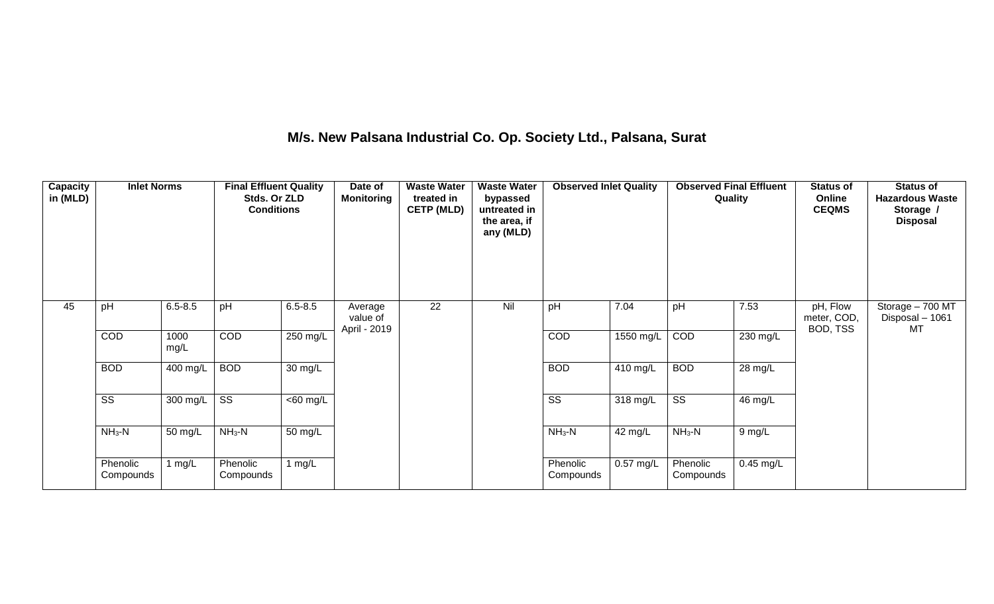## **M/s. New Palsana Industrial Co. Op. Society Ltd., Palsana, Surat**

| Capacity<br>in (MLD) | <b>Inlet Norms</b>     |                  | <b>Final Effluent Quality</b><br>Stds. Or ZLD<br><b>Conditions</b> |                      | Date of<br><b>Monitoring</b>        | <b>Waste Water</b><br>treated in<br><b>CETP (MLD)</b> | <b>Waste Water</b><br>bypassed<br>untreated in<br>the area, if<br>any (MLD) | <b>Observed Inlet Quality</b> |             | <b>Observed Final Effluent</b> | Quality     | <b>Status of</b><br>Online<br><b>CEQMS</b> | <b>Status of</b><br><b>Hazardous Waste</b><br>Storage /<br><b>Disposal</b> |
|----------------------|------------------------|------------------|--------------------------------------------------------------------|----------------------|-------------------------------------|-------------------------------------------------------|-----------------------------------------------------------------------------|-------------------------------|-------------|--------------------------------|-------------|--------------------------------------------|----------------------------------------------------------------------------|
| 45                   | pH                     | $6.5 - 8.5$      | pH                                                                 | $6.5 - 8.5$          | Average<br>value of<br>April - 2019 | 22                                                    | Nil                                                                         | pH                            | 7.04        | pH                             | 7.53        | pH, Flow<br>meter, COD,<br>BOD, TSS        | Storage - 700 MT<br>Disposal - 1061<br>МT                                  |
|                      | COD                    | 1000<br>mg/L     | COD                                                                | 250 mg/L             |                                     |                                                       |                                                                             | COD                           | 1550 mg/L   | COD                            | 230 mg/L    |                                            |                                                                            |
|                      | <b>BOD</b>             | 400 mg/L         | <b>BOD</b>                                                         | $30 \text{ mg/L}$    |                                     |                                                       |                                                                             | <b>BOD</b>                    | 410 mg/L    | <b>BOD</b>                     | 28 mg/L     |                                            |                                                                            |
|                      | $\overline{\text{ss}}$ | 300 mg/L $\vert$ | $\overline{\text{ss}}$                                             | $<$ 60 mg/L          |                                     |                                                       |                                                                             | $\overline{\text{ss}}$        | 318 mg/L    | $\overline{\text{ss}}$         | 46 mg/L     |                                            |                                                                            |
|                      | $NH3-N$                | 50 mg/L          | $NH3-N$                                                            | $\overline{50}$ mg/L |                                     |                                                       |                                                                             | $NH3-N$                       | 42 mg/L     | $NH3-N$                        | 9 mg/L      |                                            |                                                                            |
|                      | Phenolic<br>Compounds  | 1 mg/L           | Phenolic<br>Compounds                                              | 1 $mg/L$             |                                     |                                                       |                                                                             | Phenolic<br>Compounds         | $0.57$ mg/L | Phenolic<br>Compounds          | $0.45$ mg/L |                                            |                                                                            |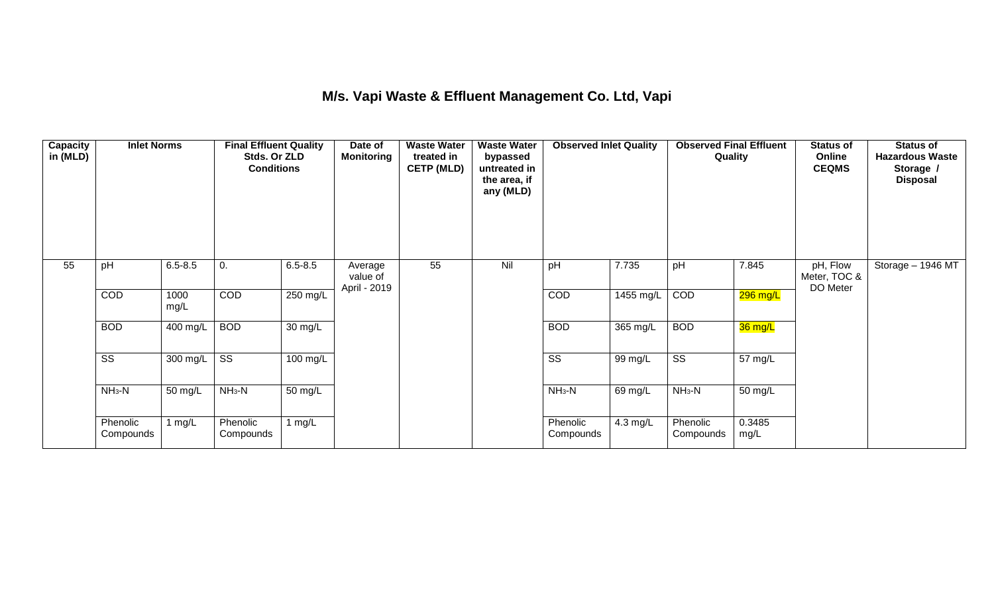## **M/s. Vapi Waste & Effluent Management Co. Ltd, Vapi**

| <b>Capacity</b><br>in (MLD) | <b>Inlet Norms</b>     |              | <b>Final Effluent Quality</b><br>Stds. Or ZLD<br><b>Conditions</b> |                      | Date of<br><b>Monitoring</b>        | <b>Waste Water</b><br>treated in<br><b>CETP (MLD)</b> | <b>Waste Water</b><br>bypassed<br>untreated in<br>the area, if<br>any (MLD) | <b>Observed Inlet Quality</b> |           | <b>Observed Final Effluent</b><br>Quality |                | <b>Status of</b><br>Online<br><b>CEQMS</b> | <b>Status of</b><br><b>Hazardous Waste</b><br>Storage /<br><b>Disposal</b> |
|-----------------------------|------------------------|--------------|--------------------------------------------------------------------|----------------------|-------------------------------------|-------------------------------------------------------|-----------------------------------------------------------------------------|-------------------------------|-----------|-------------------------------------------|----------------|--------------------------------------------|----------------------------------------------------------------------------|
| 55                          | pH                     | $6.5 - 8.5$  | 0.                                                                 | $6.5 - 8.5$          | Average<br>value of<br>April - 2019 | 55                                                    | Nil                                                                         | pH                            | 7.735     | pH                                        | 7.845          | pH, Flow<br>Meter, TOC &<br>DO Meter       | Storage - 1946 MT                                                          |
|                             | COD                    | 1000<br>mg/L | <b>COD</b>                                                         | 250 mg/L             |                                     |                                                       |                                                                             | COD                           | 1455 mg/L | COD                                       | 296 mg/L       |                                            |                                                                            |
|                             | <b>BOD</b>             | 400 mg/L     | <b>BOD</b>                                                         | $\overline{30}$ mg/L |                                     |                                                       |                                                                             | <b>BOD</b>                    | 365 mg/L  | <b>BOD</b>                                | 36 mg/L        |                                            |                                                                            |
|                             | $\overline{\text{ss}}$ | 300 mg/L     | $\overline{\text{ss}}$                                             | $100 \text{ mg/L}$   |                                     |                                                       |                                                                             | $\overline{\text{SS}}$        | 99 mg/L   | $\overline{\text{ss}}$                    | 57 mg/L        |                                            |                                                                            |
|                             | $NH3-N$                | 50 mg/L      | $NH3-N$                                                            | $\overline{50}$ mg/L |                                     |                                                       |                                                                             | $NH3-N$                       | 69 mg/L   | $NH_3-N$                                  | 50 mg/L        |                                            |                                                                            |
|                             | Phenolic<br>Compounds  | 1 $mg/L$     | Phenolic<br>Compounds                                              | 1 mg/ $L$            |                                     |                                                       |                                                                             | Phenolic<br>Compounds         | 4.3 mg/L  | Phenolic<br>Compounds                     | 0.3485<br>mg/L |                                            |                                                                            |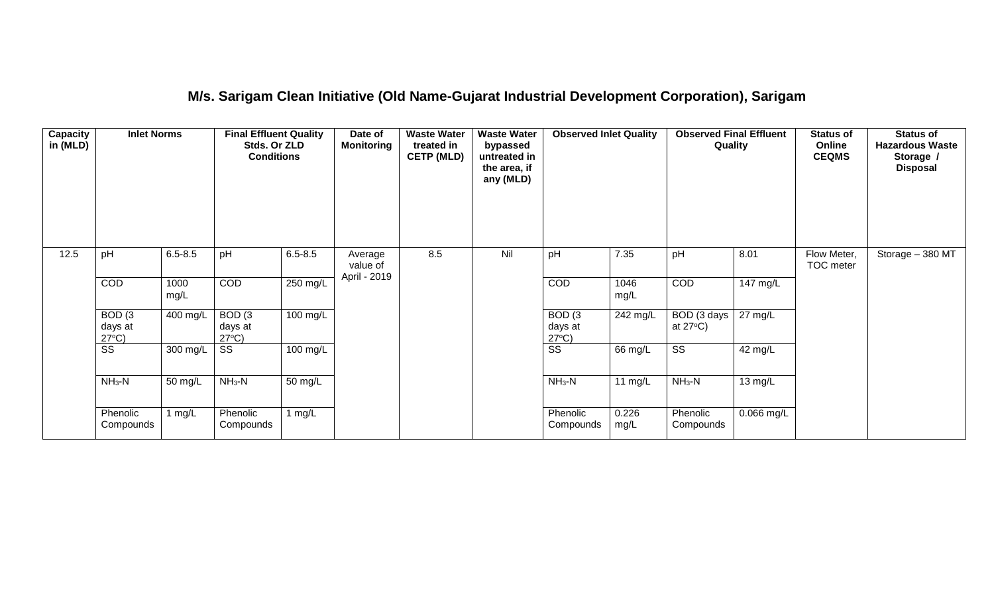#### **M/s. Sarigam Clean Initiative (Old Name-Gujarat Industrial Development Corporation), Sarigam**

| Capacity<br>in (MLD) | <b>Inlet Norms</b>                              |              | <b>Final Effluent Quality</b><br>Stds. Or ZLD<br><b>Conditions</b> |             | Date of<br><b>Monitoring</b>        | <b>Waste Water</b><br>treated in<br><b>CETP (MLD)</b> | <b>Waste Water</b><br>bypassed<br>untreated in<br>the area, if<br>any (MLD)<br>Nil | <b>Observed Inlet Quality</b>                   |               | <b>Observed Final Effluent</b><br>Quality |                   | <b>Status of</b><br>Online<br><b>CEQMS</b> | <b>Status of</b><br><b>Hazardous Waste</b><br>Storage /<br><b>Disposal</b> |
|----------------------|-------------------------------------------------|--------------|--------------------------------------------------------------------|-------------|-------------------------------------|-------------------------------------------------------|------------------------------------------------------------------------------------|-------------------------------------------------|---------------|-------------------------------------------|-------------------|--------------------------------------------|----------------------------------------------------------------------------|
| 12.5                 | pH                                              | $6.5 - 8.5$  | pH                                                                 | $6.5 - 8.5$ | Average<br>value of<br>April - 2019 | 8.5                                                   |                                                                                    | pH                                              | 7.35          | pH                                        | 8.01              | Flow Meter,<br>TOC meter                   | Storage $-380$ MT                                                          |
|                      | COD                                             | 1000<br>mg/L | <b>COD</b>                                                         | $250$ mg/L  |                                     |                                                       |                                                                                    | COD                                             | 1046<br>mg/L  | COD                                       | 147 mg/L          |                                            |                                                                            |
|                      | BOD <sub>(3</sub><br>days at<br>$27^{\circ}C$ ) | 400 mg/L     | BOD <sub>(3</sub><br>days at<br>$27^{\circ}C$ )                    | 100 mg/L    |                                     |                                                       |                                                                                    | BOD <sub>(3</sub><br>days at<br>$27^{\circ}C$ ) | $242$ mg/L    | BOD (3 days<br>at $27^{\circ}$ C)         | $27 \text{ mg/L}$ |                                            |                                                                            |
|                      | $\overline{\text{SS}}$                          | 300 mg/L     | SS                                                                 | 100 mg/L    |                                     |                                                       |                                                                                    | $\overline{\text{ss}}$                          | 66 mg/L       | $\overline{\text{SS}}$                    | 42 mg/L           |                                            |                                                                            |
|                      | $NH3-N$                                         | 50 mg/L      | $NH_3-N$                                                           | 50 mg/L     |                                     |                                                       |                                                                                    | $NH_3-N$                                        | 11 $mg/L$     | $NH_3-N$                                  | 13 mg/L           |                                            |                                                                            |
|                      | Phenolic<br>Compounds                           | 1 mg/L       | Phenolic<br>Compounds                                              | 1 $mg/L$    |                                     |                                                       |                                                                                    | Phenolic<br>Compounds                           | 0.226<br>mg/L | Phenolic<br>Compounds                     | 0.066 mg/L        |                                            |                                                                            |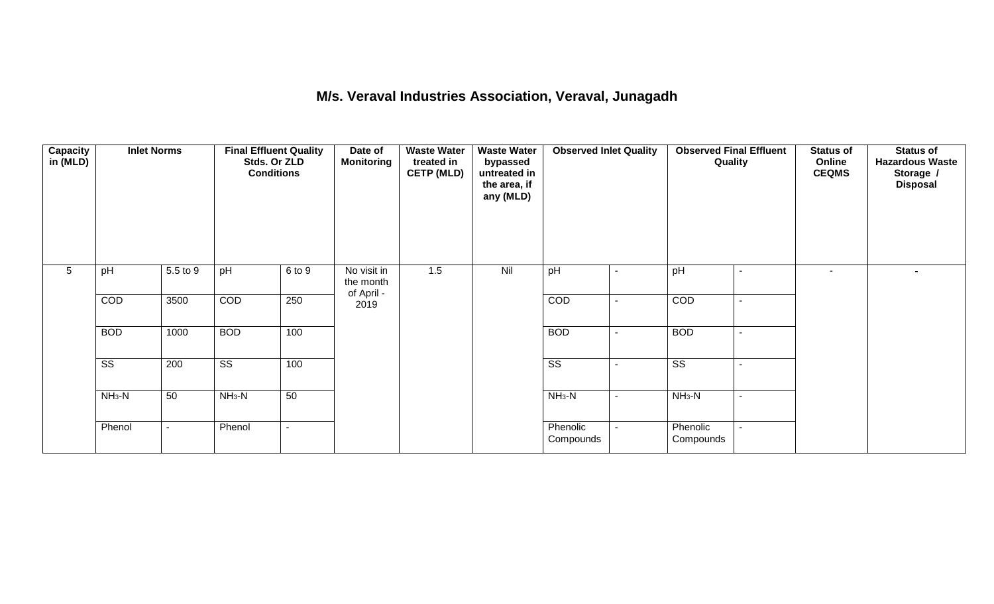#### **M/s. Veraval Industries Association, Veraval, Junagadh**

| <b>Capacity</b><br>in (MLD) | <b>Inlet Norms</b>     |                | <b>Final Effluent Quality</b><br>Stds. Or ZLD<br><b>Conditions</b> |        | Date of<br>Monitoring                  | <b>Waste Water</b><br>treated in<br><b>CETP (MLD)</b> | <b>Waste Water</b><br>bypassed<br>untreated in<br>the area, if<br>any (MLD) | <b>Observed Inlet Quality</b> |                          | <b>Observed Final Effluent</b><br>Quality |                          | <b>Status of</b><br>Online<br><b>CEQMS</b> | <b>Status of</b><br><b>Hazardous Waste</b><br>Storage /<br><b>Disposal</b> |
|-----------------------------|------------------------|----------------|--------------------------------------------------------------------|--------|----------------------------------------|-------------------------------------------------------|-----------------------------------------------------------------------------|-------------------------------|--------------------------|-------------------------------------------|--------------------------|--------------------------------------------|----------------------------------------------------------------------------|
| 5                           | pH                     | 5.5 to 9       | pH                                                                 | 6 to 9 | No visit in<br>the month<br>of April - | 1.5                                                   | Nil                                                                         | pH                            | $\overline{\phantom{a}}$ | pH                                        | $\overline{\phantom{a}}$ | $\overline{\phantom{a}}$                   | ۰.                                                                         |
|                             | COD                    | 3500           | COD                                                                | 250    | 2019                                   |                                                       |                                                                             | COD                           |                          | COD                                       | $\overline{\phantom{a}}$ |                                            |                                                                            |
|                             | <b>BOD</b>             | 1000           | <b>BOD</b>                                                         | 100    |                                        |                                                       |                                                                             | <b>BOD</b>                    |                          | <b>BOD</b>                                | $\overline{\phantom{a}}$ |                                            |                                                                            |
|                             | $\overline{\text{ss}}$ | 200            | $\overline{\text{ss}}$                                             | 100    |                                        |                                                       |                                                                             | $\overline{\text{ss}}$        |                          | $\overline{\text{ss}}$                    |                          |                                            |                                                                            |
|                             | $NH3-N$                | 50             | $NH3-N$                                                            | 50     |                                        |                                                       |                                                                             | $NH_3-N$                      | $\overline{\phantom{a}}$ | $NH3-N$                                   | $\overline{\phantom{a}}$ |                                            |                                                                            |
|                             | Phenol                 | $\blacksquare$ | Phenol                                                             | $\sim$ |                                        |                                                       |                                                                             | Phenolic<br>Compounds         |                          | Phenolic<br>Compounds                     | $\blacksquare$           |                                            |                                                                            |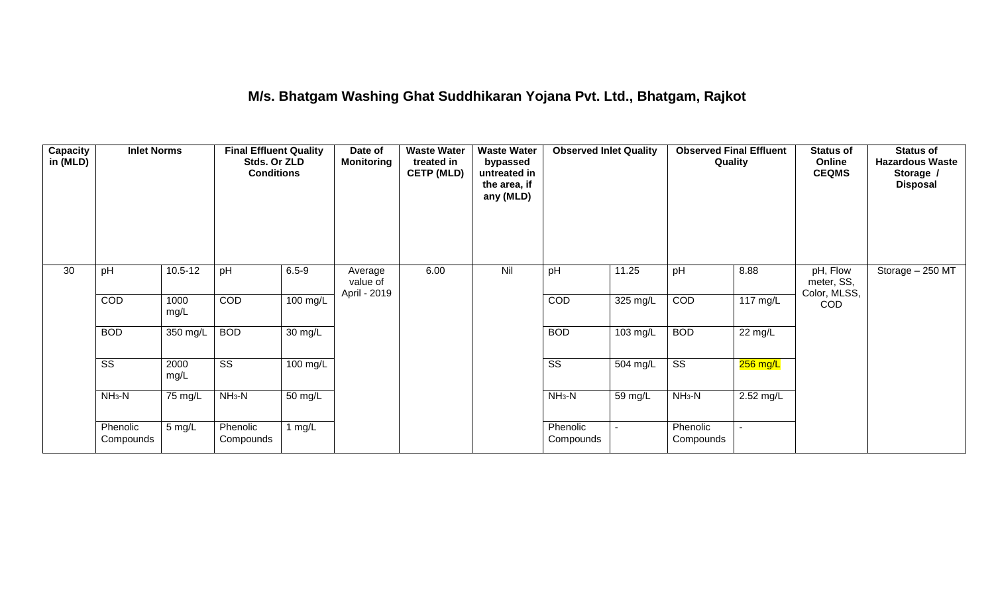#### **M/s. Bhatgam Washing Ghat Suddhikaran Yojana Pvt. Ltd., Bhatgam, Rajkot**

| Capacity<br>in (MLD) | <b>Inlet Norms</b>     |                   | <b>Final Effluent Quality</b><br>Stds. Or ZLD<br><b>Conditions</b> |                      | Date of<br><b>Monitoring</b>        | <b>Waste Water</b><br>treated in<br><b>CETP (MLD)</b> | <b>Waste Water</b><br>bypassed<br>untreated in<br>the area, if<br>any (MLD) | <b>Observed Inlet Quality</b> |          | <b>Observed Final Effluent</b><br>Quality |                    | <b>Status of</b><br>Online<br><b>CEQMS</b> | <b>Status of</b><br><b>Hazardous Waste</b><br>Storage /<br><b>Disposal</b> |
|----------------------|------------------------|-------------------|--------------------------------------------------------------------|----------------------|-------------------------------------|-------------------------------------------------------|-----------------------------------------------------------------------------|-------------------------------|----------|-------------------------------------------|--------------------|--------------------------------------------|----------------------------------------------------------------------------|
| 30                   | pH                     | $10.5 - 12$       | pH                                                                 | $6.5 - 9$            | Average<br>value of<br>April - 2019 | 6.00                                                  | Nil                                                                         | pH                            | 11.25    | pH                                        | 8.88               | pH, Flow<br>meter, SS,<br>Color, MLSS,     | Storage - 250 MT                                                           |
|                      | COD                    | 1000<br>mg/L      | COD                                                                | $100 \text{ mg/L}$   |                                     |                                                       |                                                                             | COD                           | 325 mg/L | COD                                       | $117 \text{ mg/L}$ | <b>COD</b>                                 |                                                                            |
|                      | <b>BOD</b>             | 350 mg/L          | <b>BOD</b>                                                         | 30 mg/L              |                                     |                                                       |                                                                             | <b>BOD</b>                    | 103 mg/L | <b>BOD</b>                                | 22 mg/L            |                                            |                                                                            |
|                      | $\overline{\text{ss}}$ | 2000<br>mg/L      | $\overline{\text{ss}}$                                             | $100$ mg/L           |                                     |                                                       |                                                                             | $\overline{\text{ss}}$        | 504 mg/L | $\overline{\text{ss}}$                    | $256$ mg/L         |                                            |                                                                            |
|                      | $NH3-N$                | $75 \text{ mg/L}$ | $NH3-N$                                                            | $\overline{50}$ mg/L |                                     |                                                       |                                                                             | $NH3-N$                       | 59 mg/L  | $NH3-N$                                   | 2.52 mg/L          |                                            |                                                                            |
|                      | Phenolic<br>Compounds  | 5 mg/L            | Phenolic<br>Compounds                                              | 1 mg/L               |                                     |                                                       |                                                                             | Phenolic<br>Compounds         | $\sim$   | Phenolic<br>Compounds                     | $\sim$             |                                            |                                                                            |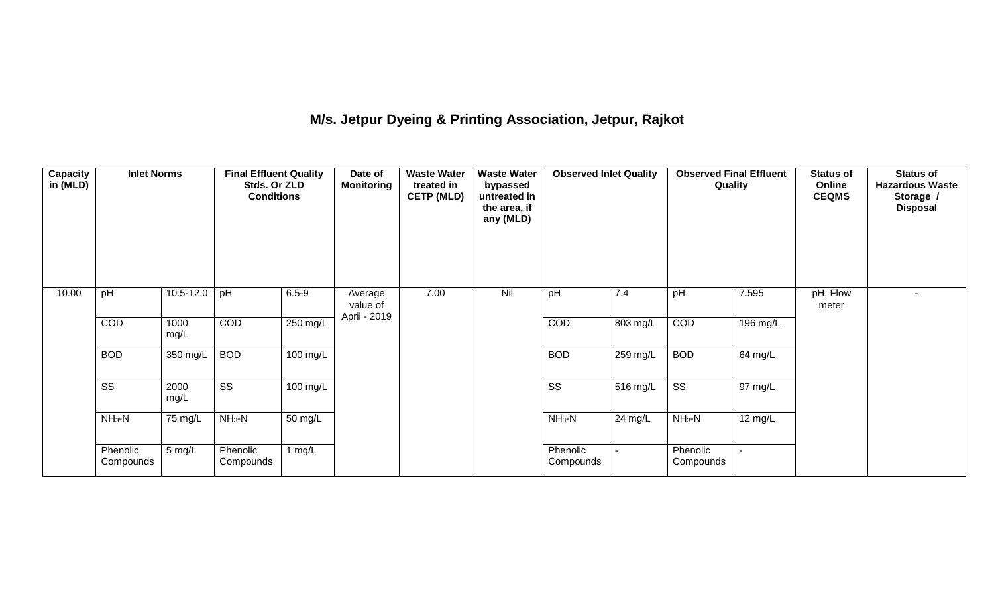# **M/s. Jetpur Dyeing & Printing Association, Jetpur, Rajkot**

| Capacity<br>in (MLD) | <b>Inlet Norms</b>     |              | <b>Final Effluent Quality</b><br>Stds. Or ZLD<br><b>Conditions</b> |                    | Date of<br><b>Monitoring</b>        | <b>Waste Water</b><br>treated in<br><b>CETP (MLD)</b> | <b>Waste Water</b><br>bypassed<br>untreated in<br>the area, if<br>any (MLD) | <b>Observed Inlet Quality</b><br>7.4 |          | <b>Observed Final Effluent</b><br>Quality |          | <b>Status of</b><br>Online<br><b>CEQMS</b> | <b>Status of</b><br><b>Hazardous Waste</b><br>Storage /<br><b>Disposal</b> |
|----------------------|------------------------|--------------|--------------------------------------------------------------------|--------------------|-------------------------------------|-------------------------------------------------------|-----------------------------------------------------------------------------|--------------------------------------|----------|-------------------------------------------|----------|--------------------------------------------|----------------------------------------------------------------------------|
| 10.00                | pH                     | 10.5-12.0    | pH                                                                 | $6.5 - 9$          | Average<br>value of<br>April - 2019 | 7.00                                                  | Nil                                                                         | pH                                   |          | pH                                        | 7.595    | pH, Flow<br>meter                          |                                                                            |
|                      | COD                    | 1000<br>mg/L | COD                                                                | 250 mg/L           |                                     |                                                       |                                                                             | COD                                  | 803 mg/L | COD                                       | 196 mg/L |                                            |                                                                            |
|                      | <b>BOD</b>             | 350 mg/L     | <b>BOD</b>                                                         | $100 \text{ mg/L}$ |                                     |                                                       |                                                                             | <b>BOD</b>                           | 259 mg/L | <b>BOD</b>                                | 64 mg/L  |                                            |                                                                            |
|                      | $\overline{\text{ss}}$ | 2000<br>mg/L | $\overline{\text{ss}}$                                             | 100 mg/L           |                                     |                                                       |                                                                             | $\overline{\text{ss}}$               | 516 mg/L | $\overline{\text{ss}}$                    | 97 mg/L  |                                            |                                                                            |
|                      | $NH_3-N$               | 75 mg/L      | $NH3-N$                                                            | 50 mg/L            |                                     |                                                       |                                                                             | $NH_3-N$                             | 24 mg/L  | $NH_3-N$                                  | 12 mg/L  |                                            |                                                                            |
|                      | Phenolic<br>Compounds  | 5 mg/L       | Phenolic<br>Compounds                                              | 1 $mg/L$           |                                     |                                                       |                                                                             | Phenolic<br>Compounds                |          | Phenolic<br>Compounds                     |          |                                            |                                                                            |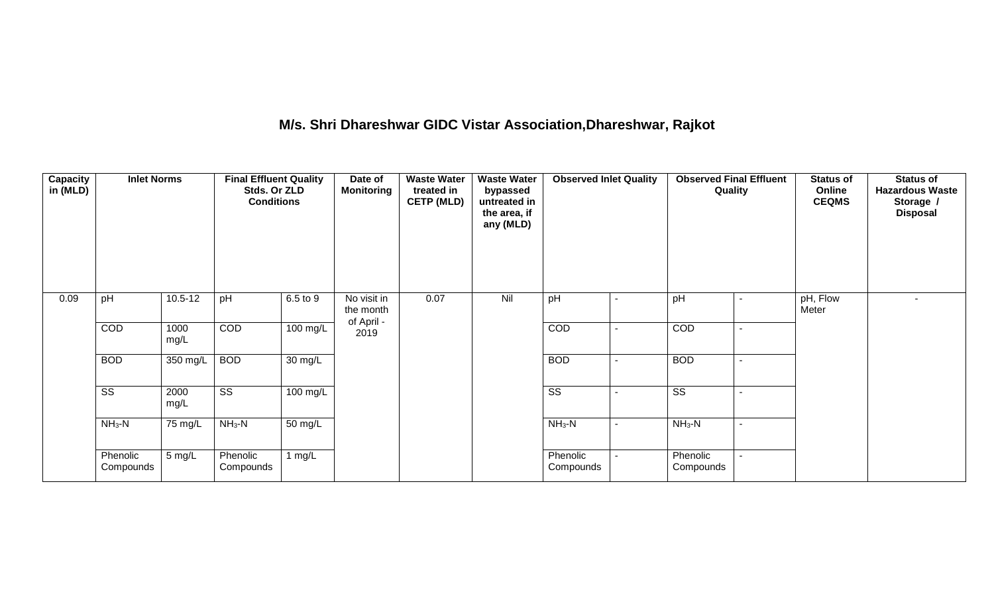# **M/s. Shri Dhareshwar GIDC Vistar Association,Dhareshwar, Rajkot**

| Capacity<br>in (MLD) | <b>Inlet Norms</b>     |              | <b>Final Effluent Quality</b><br>Stds. Or ZLD<br><b>Conditions</b> |                       | Date of<br><b>Monitoring</b> | <b>Waste Water</b><br>treated in<br><b>CETP (MLD)</b> | <b>Waste Water</b><br>bypassed<br>untreated in<br>the area, if<br>any (MLD) | <b>Observed Inlet Quality</b> |                          | <b>Observed Final Effluent</b><br>Quality |  | <b>Status of</b><br>Online<br><b>CEQMS</b> | <b>Status of</b><br><b>Hazardous Waste</b><br>Storage /<br><b>Disposal</b> |
|----------------------|------------------------|--------------|--------------------------------------------------------------------|-----------------------|------------------------------|-------------------------------------------------------|-----------------------------------------------------------------------------|-------------------------------|--------------------------|-------------------------------------------|--|--------------------------------------------|----------------------------------------------------------------------------|
| 0.09                 | pH                     | $10.5 - 12$  | pH                                                                 | 6.5 to 9              | No visit in<br>the month     | 0.07                                                  | Nil                                                                         | pH                            |                          | pH                                        |  | pH, Flow<br>Meter                          |                                                                            |
|                      | COD                    | 1000<br>mg/L | COD                                                                | $\overline{100}$ mg/L | of April -<br>2019           |                                                       |                                                                             | COD                           |                          | COD                                       |  |                                            |                                                                            |
|                      | <b>BOD</b>             | 350 mg/L     | <b>BOD</b>                                                         | $\overline{30}$ mg/L  |                              |                                                       |                                                                             | <b>BOD</b>                    | $\overline{\phantom{a}}$ | <b>BOD</b>                                |  |                                            |                                                                            |
|                      | $\overline{\text{ss}}$ | 2000<br>mg/L | $\overline{\text{ss}}$                                             | $100$ mg/L            |                              |                                                       |                                                                             | $\overline{\text{SS}}$        |                          | $\overline{\text{SS}}$                    |  |                                            |                                                                            |
|                      | $NH3-N$                | 75 mg/L      | $NH3-N$                                                            | $\frac{1}{50}$ mg/L   |                              |                                                       |                                                                             | $NH_3-N$                      | $\overline{\phantom{a}}$ | $NH3-N$                                   |  |                                            |                                                                            |
|                      | Phenolic<br>Compounds  | 5 mg/L       | Phenolic<br>Compounds                                              | 1 $mg/L$              |                              |                                                       |                                                                             | Phenolic<br>Compounds         |                          | Phenolic<br>Compounds                     |  |                                            |                                                                            |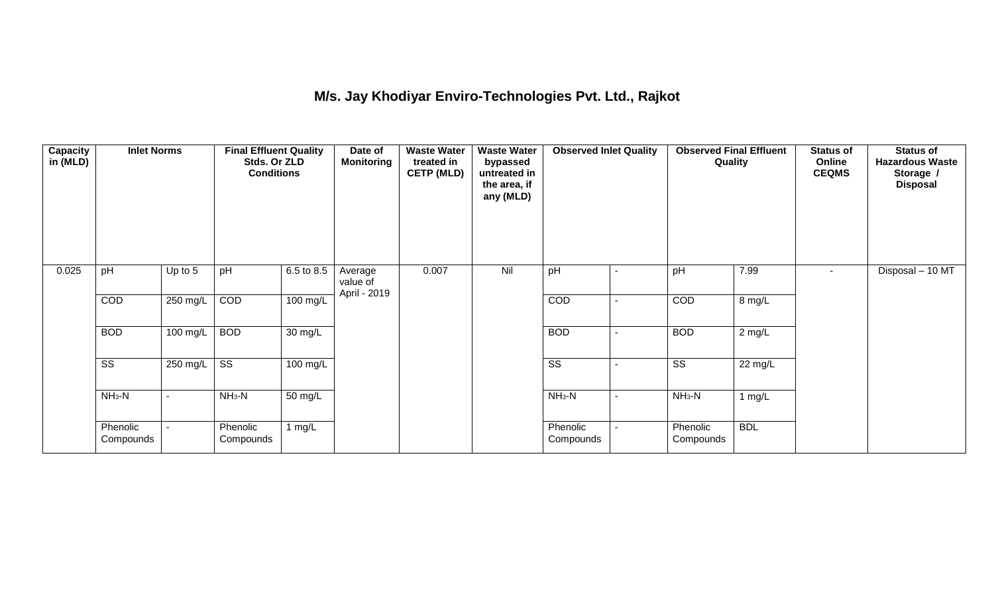## **M/s. Jay Khodiyar Enviro-Technologies Pvt. Ltd., Rajkot**

| <b>Capacity</b><br>in (MLD) | <b>Inlet Norms</b>     |                          | <b>Final Effluent Quality</b><br>Stds. Or ZLD<br><b>Conditions</b> |                      | Date of<br><b>Monitoring</b>        | <b>Waste Water</b><br>treated in<br><b>CETP (MLD)</b> | bypassed<br>untreated in<br>the area, if<br>any (MLD)<br>Nil | <b>Observed Inlet Quality</b> |                          | <b>Observed Final Effluent</b><br>Quality |            | <b>Status of</b><br>Online<br><b>CEQMS</b> | <b>Status of</b><br><b>Hazardous Waste</b><br>Storage /<br><b>Disposal</b> |
|-----------------------------|------------------------|--------------------------|--------------------------------------------------------------------|----------------------|-------------------------------------|-------------------------------------------------------|--------------------------------------------------------------|-------------------------------|--------------------------|-------------------------------------------|------------|--------------------------------------------|----------------------------------------------------------------------------|
| 0.025                       | pH                     | Up to $5$                | pH                                                                 | 6.5 to 8.5           | Average<br>value of<br>April - 2019 | 0.007                                                 |                                                              | pH                            |                          | pH                                        | 7.99       | $\sim$                                     | Disposal - 10 MT                                                           |
|                             | COD                    | 250 mg/L                 | COD                                                                | $100 \text{ mg/L}$   |                                     |                                                       |                                                              | COD                           |                          | COD                                       | 8 mg/L     |                                            |                                                                            |
|                             | <b>BOD</b>             | 100 mg/L                 | <b>BOD</b>                                                         | 30 mg/L              |                                     |                                                       |                                                              | <b>BOD</b>                    | $\blacksquare$           | <b>BOD</b>                                | $2$ mg/L   |                                            |                                                                            |
|                             | $\overline{\text{ss}}$ | 250 mg/L                 | $\overline{\text{ss}}$                                             | $100 \text{ mg/L}$   |                                     |                                                       |                                                              | $\overline{\text{ss}}$        |                          | $\overline{\text{ss}}$                    | 22 mg/L    |                                            |                                                                            |
|                             | $NH3-N$                | $\overline{\phantom{a}}$ | $NH3-N$                                                            | $\overline{50}$ mg/L |                                     |                                                       |                                                              | $NH3-N$                       | $\overline{\phantom{a}}$ | $NH_3-N$                                  | $1$ mg/L   |                                            |                                                                            |
|                             | Phenolic<br>Compounds  |                          | Phenolic<br>Compounds                                              | 1 mg/L               |                                     |                                                       |                                                              | Phenolic<br>Compounds         | $\blacksquare$           | Phenolic<br>Compounds                     | <b>BDL</b> |                                            |                                                                            |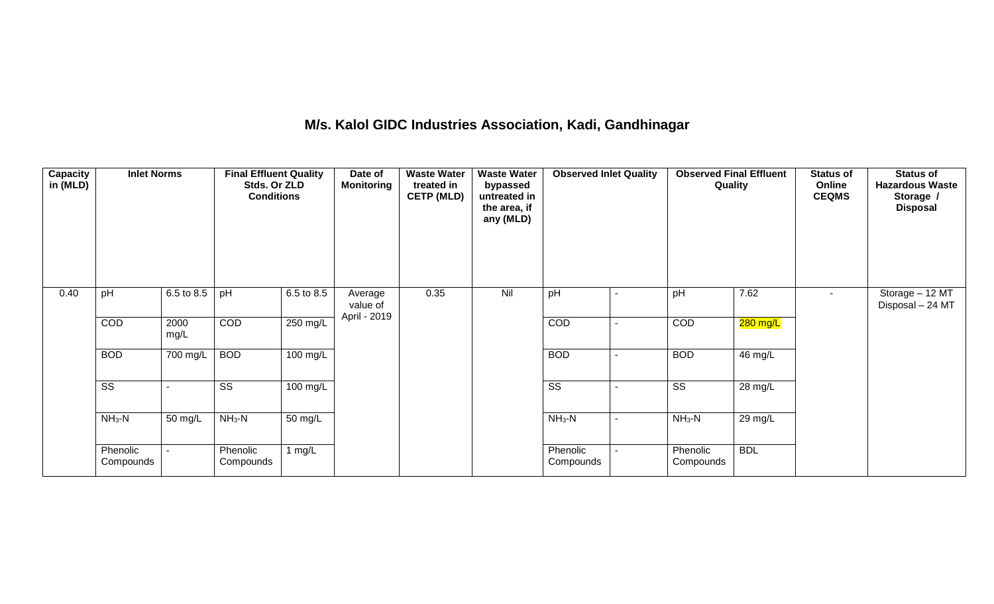#### **M/s. Kalol GIDC Industries Association, Kadi, Gandhinagar**

| <b>Capacity</b><br>in (MLD) | <b>Inlet Norms</b>     |              | <b>Final Effluent Quality</b><br>Stds. Or ZLD<br><b>Conditions</b> |                    | Date of<br><b>Monitoring</b>        | <b>Waste Water</b><br>treated in<br><b>CETP (MLD)</b><br>0.35 | <b>Waste Water</b><br>bypassed<br>untreated in<br>the area, if<br>any (MLD)<br>Nil | <b>Observed Inlet Quality</b> |  | <b>Observed Final Effluent</b><br>Quality |                      | <b>Status of</b><br>Online<br><b>CEQMS</b> | <b>Status of</b><br><b>Hazardous Waste</b><br>Storage /<br><b>Disposal</b> |
|-----------------------------|------------------------|--------------|--------------------------------------------------------------------|--------------------|-------------------------------------|---------------------------------------------------------------|------------------------------------------------------------------------------------|-------------------------------|--|-------------------------------------------|----------------------|--------------------------------------------|----------------------------------------------------------------------------|
| 0.40                        | pH                     | 6.5 to 8.5   | pH                                                                 | 6.5 to 8.5         | Average<br>value of<br>April - 2019 |                                                               |                                                                                    | pH                            |  | pH                                        | 7.62                 | $\sim$                                     | Storage - 12 MT<br>Disposal - 24 MT                                        |
|                             | COD                    | 2000<br>mg/L | COD                                                                | 250 mg/L           |                                     |                                                               |                                                                                    | COD                           |  | <b>COD</b>                                | 280 mg/L             |                                            |                                                                            |
|                             | <b>BOD</b>             | 700 mg/L     | <b>BOD</b>                                                         | $100 \text{ mg/L}$ |                                     |                                                               |                                                                                    | <b>BOD</b>                    |  | <b>BOD</b>                                | 46 mg/L              |                                            |                                                                            |
|                             | $\overline{\text{ss}}$ |              | $\overline{\text{ss}}$                                             | 100 mg/L           |                                     |                                                               |                                                                                    | $\overline{\text{ss}}$        |  | $\overline{\text{ss}}$                    | $\overline{28}$ mg/L |                                            |                                                                            |
|                             | $NH3-N$                | 50 mg/L      | $NH3-N$                                                            | 50 mg/L            |                                     |                                                               |                                                                                    | $NH_3-N$                      |  | $NH3-N$                                   | 29 mg/L              |                                            |                                                                            |
|                             | Phenolic<br>Compounds  |              | Phenolic<br>Compounds                                              | 1 $mg/L$           |                                     |                                                               |                                                                                    | Phenolic<br>Compounds         |  | Phenolic<br>Compounds                     | <b>BDL</b>           |                                            |                                                                            |